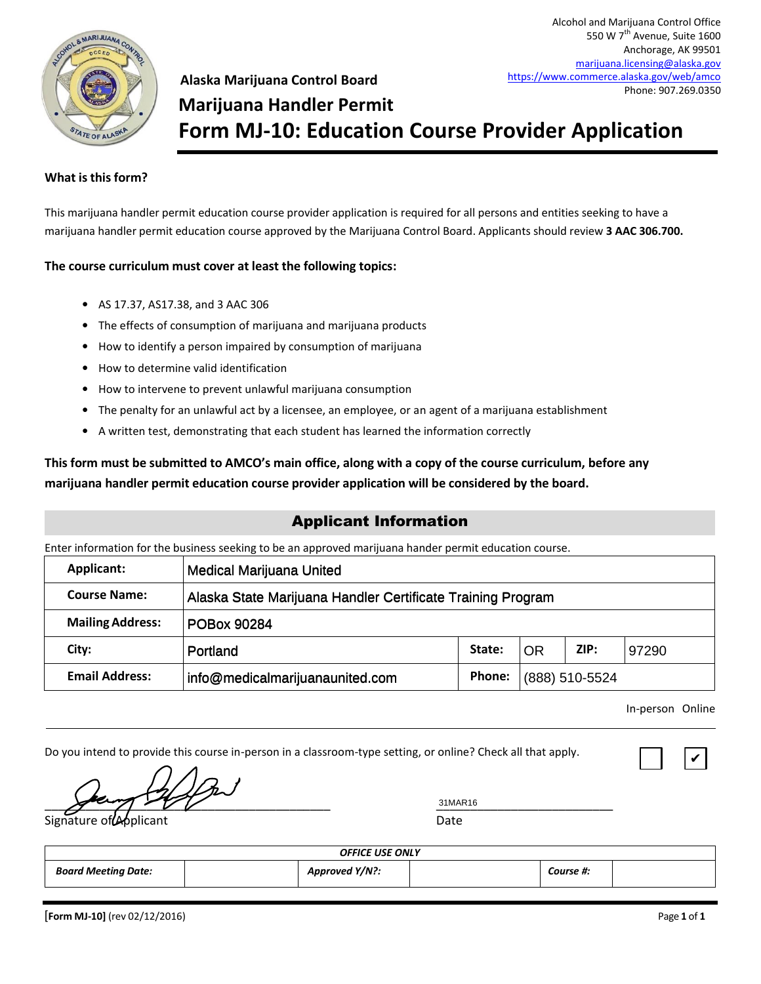

marijuana.licensing@alaska.gov https://www.commerce.alaska.gov/web/amco Alaska Marijuana Control Board Phone: 907.269.0350 **Marijuana Handler Permit Form MJ-10: Education Course Provider Application** 

#### What is this form?

This marijuana handler permit education course provider application is required for all persons and entities seeking to have a marijuana handler permit education course approved by the Marijuana Control Board. Applicants should review 3 AAC 306.700.

#### The course curriculum must cover at least the following topics:

- AS 17.37, AS17.38, and 3 AAC 306
- The effects of consumption of marijuana and marijuana products
- How to identify a person impaired by consumption of marijuana
- How to determine valid identification
- How to intervene to prevent unlawful marijuana consumption
- The penalty for an unlawful act by a licensee, an employee, or an agent of a marijuana establishment
- A written test, demonstrating that each student has learned the information correctly

#### This form must be submitted to AMCO's main office, along with a copy of the course curriculum, before any marijuana handler permit education course provider application will be considered by the board.

## **Applicant Information**

Enter information for the business seeking to be an approved marijuana hander permit education course.

| Applicant:              | Medical Marijuana United                                    |        |                |      |       |
|-------------------------|-------------------------------------------------------------|--------|----------------|------|-------|
| <b>Course Name:</b>     | Alaska State Marijuana Handler Certificate Training Program |        |                |      |       |
| <b>Mailing Address:</b> | <b>POBox 90284</b>                                          |        |                |      |       |
| City:                   | Portland                                                    | State: | <b>OR</b>      | ZIP: | 97290 |
| <b>Email Address:</b>   | info@medicalmarijuanaunited.com                             | Phone: | (888) 510-5524 |      |       |

In-person Online

Alcohol and Marijuana Control Office 550 W 7<sup>th</sup> Avenue, Suite 1600

Anchorage, AK 99501

| Do you intend to provide this course in-person in a classroom-type setting, or online? Check all that apply. |                        |         |           |  |
|--------------------------------------------------------------------------------------------------------------|------------------------|---------|-----------|--|
|                                                                                                              |                        | 31MAR16 |           |  |
| Signature of Applicant                                                                                       |                        | Date    |           |  |
|                                                                                                              | <b>OFFICE USE ONLY</b> |         |           |  |
| <b>Board Meeting Date:</b>                                                                                   | Approved Y/N?:         |         | Course #: |  |

[Form MJ-10] (rev 02/12/2016)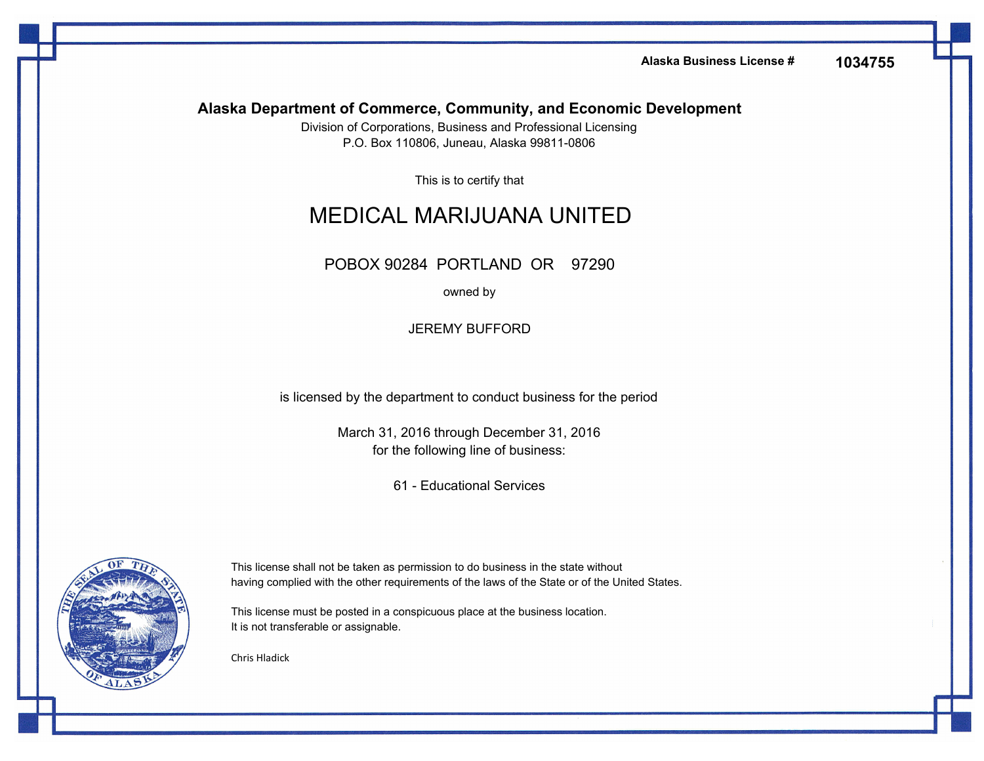**Alaska Business License # 1034755**

#### **Alaska Department of Commerce, Community, and Economic Development**

Division of Corporations, Business and Professional Licensing P.O. Box 110806, Juneau, Alaska 99811-0806

This is to certify that

## MEDICAL MARIJUANA UNITED

## POBOX 90284 PORTLAND OR 97290

owned by

JEREMY BUFFORD

is licensed by the department to conduct business for the period

March 31, 2016 through December 31, 2016 for the following line of business:

61 - Educational Services



This license shall not be taken as permission to do business in the state without having complied with the other requirements of the laws of the State or of the United States.

This license must be posted in a conspicuous place at the business location. It is not transferable or assignable.

Chris Hladick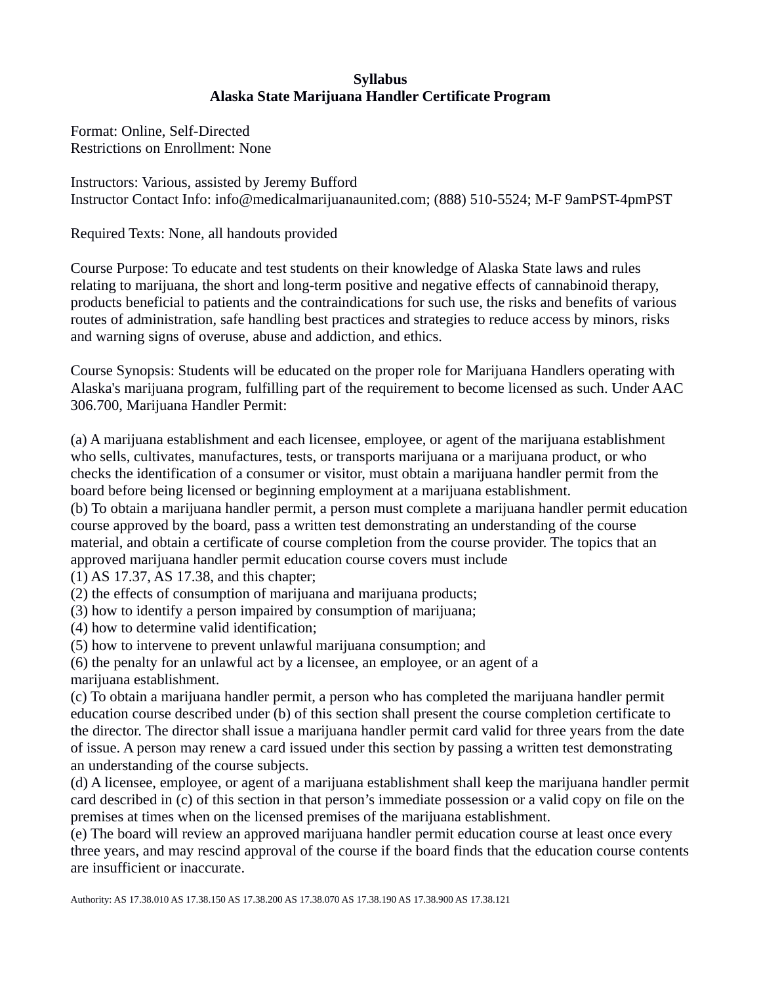#### **Syllabus Alaska State Marijuana Handler Certificate Program**

Format: Online, Self-Directed Restrictions on Enrollment: None

Instructors: Various, assisted by Jeremy Bufford Instructor Contact Info: info@medicalmarijuanaunited.com; (888) 510-5524; M-F 9amPST-4pmPST

Required Texts: None, all handouts provided

Course Purpose: To educate and test students on their knowledge of Alaska State laws and rules relating to marijuana, the short and long-term positive and negative effects of cannabinoid therapy, products beneficial to patients and the contraindications for such use, the risks and benefits of various routes of administration, safe handling best practices and strategies to reduce access by minors, risks and warning signs of overuse, abuse and addiction, and ethics.

Course Synopsis: Students will be educated on the proper role for Marijuana Handlers operating with Alaska's marijuana program, fulfilling part of the requirement to become licensed as such. Under AAC 306.700, Marijuana Handler Permit:

(a) A marijuana establishment and each licensee, employee, or agent of the marijuana establishment who sells, cultivates, manufactures, tests, or transports marijuana or a marijuana product, or who checks the identification of a consumer or visitor, must obtain a marijuana handler permit from the board before being licensed or beginning employment at a marijuana establishment.

(b) To obtain a marijuana handler permit, a person must complete a marijuana handler permit education course approved by the board, pass a written test demonstrating an understanding of the course material, and obtain a certificate of course completion from the course provider. The topics that an approved marijuana handler permit education course covers must include

(1) AS 17.37, AS 17.38, and this chapter;

(2) the effects of consumption of marijuana and marijuana products;

(3) how to identify a person impaired by consumption of marijuana;

- (4) how to determine valid identification;
- (5) how to intervene to prevent unlawful marijuana consumption; and
- (6) the penalty for an unlawful act by a licensee, an employee, or an agent of a marijuana establishment.

(c) To obtain a marijuana handler permit, a person who has completed the marijuana handler permit education course described under (b) of this section shall present the course completion certificate to the director. The director shall issue a marijuana handler permit card valid for three years from the date of issue. A person may renew a card issued under this section by passing a written test demonstrating an understanding of the course subjects.

(d) A licensee, employee, or agent of a marijuana establishment shall keep the marijuana handler permit card described in (c) of this section in that person's immediate possession or a valid copy on file on the premises at times when on the licensed premises of the marijuana establishment.

(e) The board will review an approved marijuana handler permit education course at least once every three years, and may rescind approval of the course if the board finds that the education course contents are insufficient or inaccurate.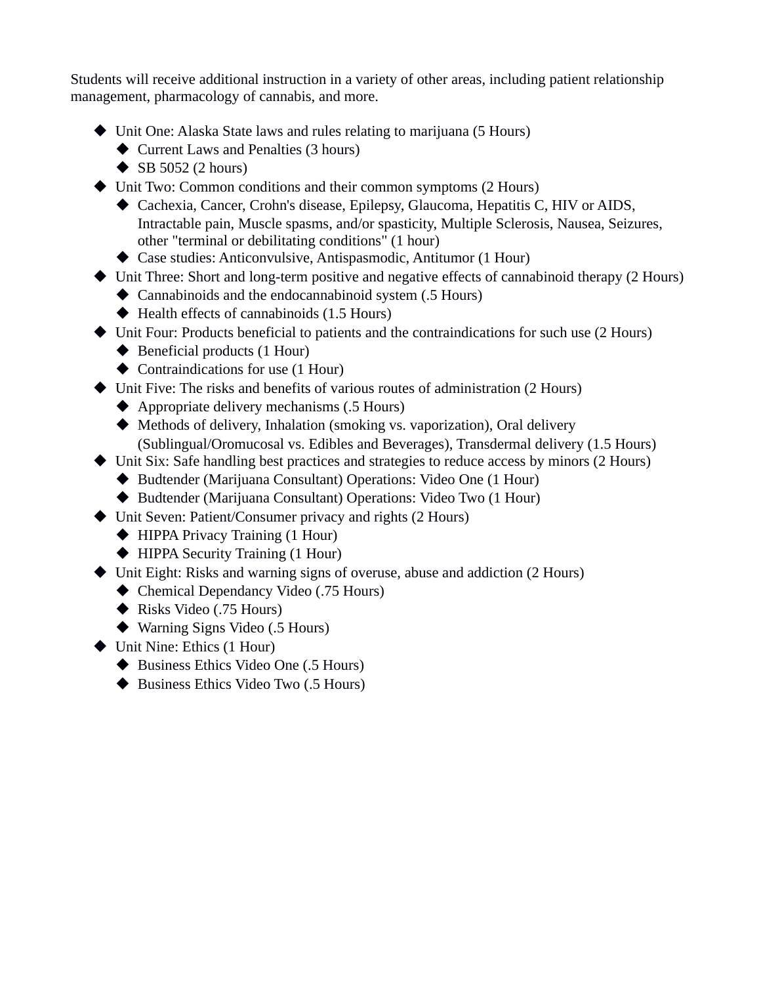Students will receive additional instruction in a variety of other areas, including patient relationship management, pharmacology of cannabis, and more.

- ◆ Unit One: Alaska State laws and rules relating to marijuana (5 Hours)
	- ◆ Current Laws and Penalties (3 hours)
	- $\blacklozenge$  SB 5052 (2 hours)
- Unit Two: Common conditions and their common symptoms (2 Hours)
	- Cachexia, Cancer, Crohn's disease, Epilepsy, Glaucoma, Hepatitis C, HIV or AIDS, Intractable pain, Muscle spasms, and/or spasticity, Multiple Sclerosis, Nausea, Seizures, other "terminal or debilitating conditions" (1 hour)
	- Case studies: Anticonvulsive, Antispasmodic, Antitumor (1 Hour)
- Unit Three: Short and long-term positive and negative effects of cannabinoid therapy (2 Hours)
	- ◆ Cannabinoids and the endocannabinoid system (.5 Hours)
	- $\blacklozenge$  Health effects of cannabinoids (1.5 Hours)
- Unit Four: Products beneficial to patients and the contraindications for such use (2 Hours)
	- $\blacklozenge$  Beneficial products (1 Hour)
	- ◆ Contraindications for use (1 Hour)
- Unit Five: The risks and benefits of various routes of administration (2 Hours)
	- $\blacklozenge$  Appropriate delivery mechanisms (.5 Hours)
	- Methods of delivery, Inhalation (smoking vs. vaporization), Oral delivery (Sublingual/Oromucosal vs. Edibles and Beverages), Transdermal delivery (1.5 Hours)
- Unit Six: Safe handling best practices and strategies to reduce access by minors (2 Hours)
	- ◆ Budtender (Marijuana Consultant) Operations: Video One (1 Hour)
	- ◆ Budtender (Marijuana Consultant) Operations: Video Two (1 Hour)
- ◆ Unit Seven: Patient/Consumer privacy and rights (2 Hours)
	- ◆ HIPPA Privacy Training (1 Hour)
	- ◆ HIPPA Security Training (1 Hour)
- Unit Eight: Risks and warning signs of overuse, abuse and addiction (2 Hours)
	- ◆ Chemical Dependancy Video (.75 Hours)
		- ◆ Risks Video (.75 Hours)
	- ◆ Warning Signs Video (.5 Hours)
- ◆ Unit Nine: Ethics (1 Hour)
	- ◆ Business Ethics Video One (.5 Hours)
	- ◆ Business Ethics Video Two (.5 Hours)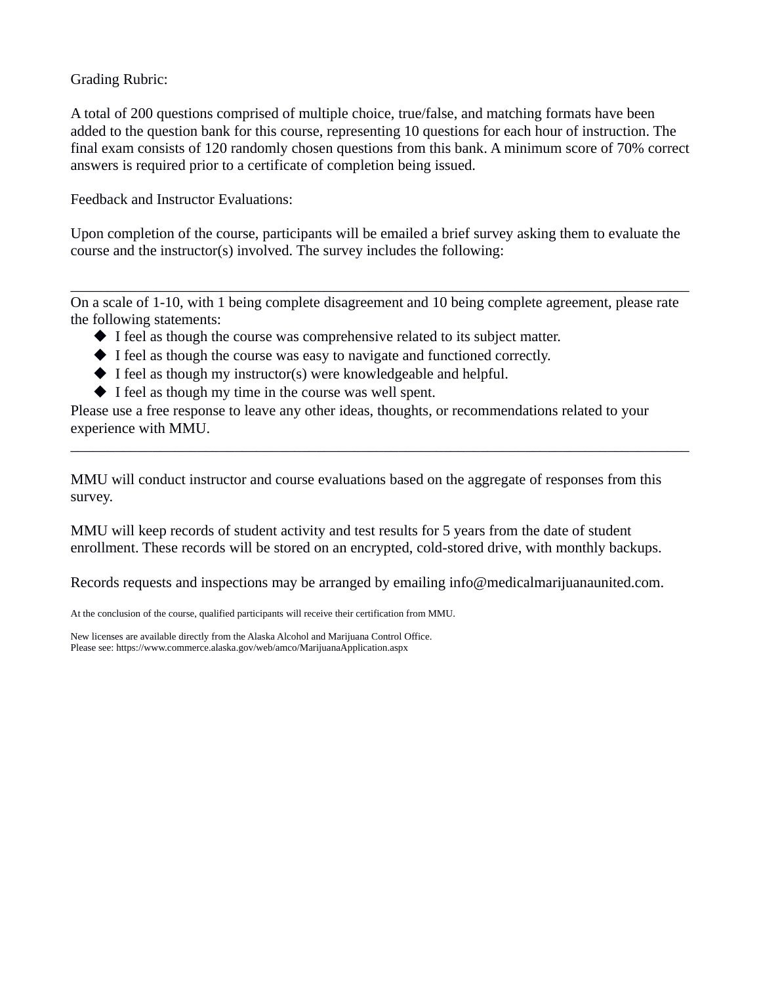Grading Rubric:

A total of 200 questions comprised of multiple choice, true/false, and matching formats have been added to the question bank for this course, representing 10 questions for each hour of instruction. The final exam consists of 120 randomly chosen questions from this bank. A minimum score of 70% correct answers is required prior to a certificate of completion being issued.

Feedback and Instructor Evaluations:

Upon completion of the course, participants will be emailed a brief survey asking them to evaluate the course and the instructor(s) involved. The survey includes the following:

On a scale of 1-10, with 1 being complete disagreement and 10 being complete agreement, please rate the following statements:

 $\_$  , and the set of the set of the set of the set of the set of the set of the set of the set of the set of the set of the set of the set of the set of the set of the set of the set of the set of the set of the set of th

- I feel as though the course was comprehensive related to its subject matter.
- ◆ I feel as though the course was easy to navigate and functioned correctly.
- $\blacklozenge$  I feel as though my instructor(s) were knowledgeable and helpful.
- $\blacklozenge$  I feel as though my time in the course was well spent.

Please use a free response to leave any other ideas, thoughts, or recommendations related to your experience with MMU.

MMU will conduct instructor and course evaluations based on the aggregate of responses from this survey.

\_\_\_\_\_\_\_\_\_\_\_\_\_\_\_\_\_\_\_\_\_\_\_\_\_\_\_\_\_\_\_\_\_\_\_\_\_\_\_\_\_\_\_\_\_\_\_\_\_\_\_\_\_\_\_\_\_\_\_\_\_\_\_\_\_\_\_\_\_\_\_\_\_\_\_\_\_\_\_\_\_\_\_

MMU will keep records of student activity and test results for 5 years from the date of student enrollment. These records will be stored on an encrypted, cold-stored drive, with monthly backups.

Records requests and inspections may be arranged by emailing info@medicalmarijuanaunited.com.

At the conclusion of the course, qualified participants will receive their certification from MMU.

New licenses are available directly from the Alaska Alcohol and Marijuana Control Office. Please see: https://www.commerce.alaska.gov/web/amco/MarijuanaApplication.aspx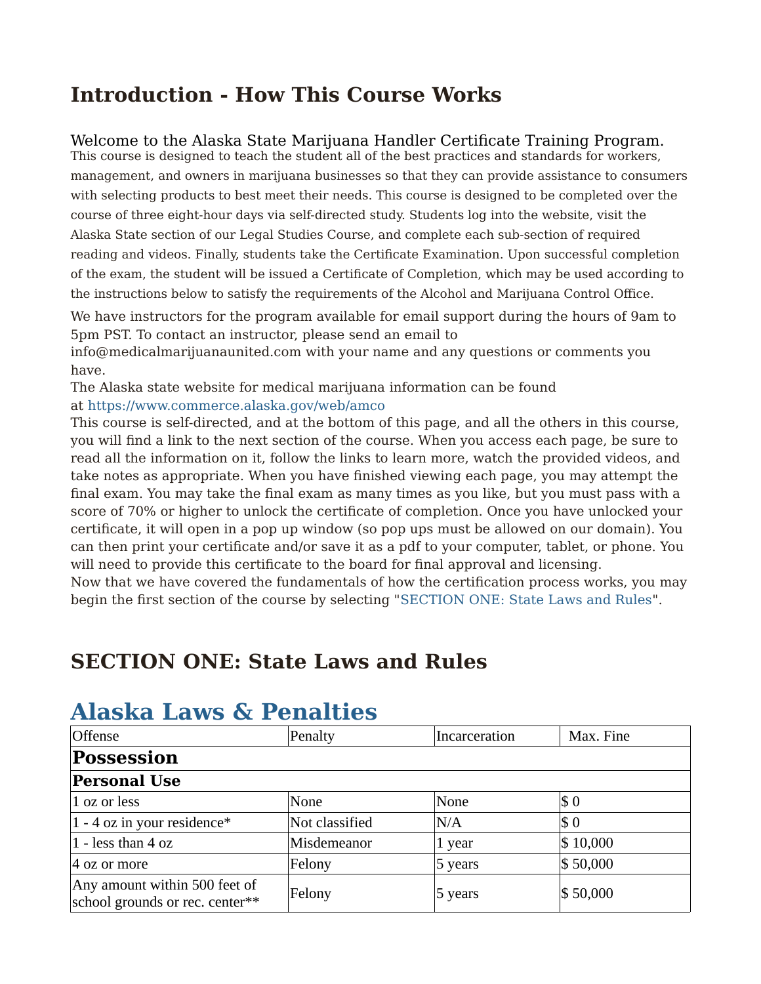## **Introduction - How This Course Works**

## Welcome to the Alaska State Marijuana Handler Certificate Training Program.

This course is designed to teach the student all of the best practices and standards for workers, management, and owners in marijuana businesses so that they can provide assistance to consumers with selecting products to best meet their needs. This course is designed to be completed over the course of three eight-hour days via self-directed study. Students log into the website, visit the Alaska State section of our Legal Studies Course, and complete each sub-section of required reading and videos. Finally, students take the Certificate Examination. Upon successful completion of the exam, the student will be issued a Certificate of Completion, which may be used according to the instructions below to satisfy the requirements of the Alcohol and Marijuana Control Office.

We have instructors for the program available for email support during the hours of 9am to 5pm PST. To contact an instructor, please send an email to

info@medicalmarijuanaunited.com with your name and any questions or comments you have.

The Alaska state website for medical marijuana information can be found at <https://www.commerce.alaska.gov/web/amco>

This course is self-directed, and at the bottom of this page, and all the others in this course, you will find a link to the next section of the course. When you access each page, be sure to read all the information on it, follow the links to learn more, watch the provided videos, and take notes as appropriate. When you have finished viewing each page, you may attempt the final exam. You may take the final exam as many times as you like, but you must pass with a score of 70% or higher to unlock the certificate of completion. Once you have unlocked your certificate, it will open in a pop up window (so pop ups must be allowed on our domain). You can then print your certificate and/or save it as a pdf to your computer, tablet, or phone. You will need to provide this certificate to the board for final approval and licensing.

Now that we have covered the fundamentals of how the certification process works, you may begin the first section of the course by selecting "[SECTION ONE: State Laws and Rules"](https://medicalmarijuanaunited.com/school/mod/page/view.php?id=313).

## **SECTION ONE: State Laws and Rules**

| I MUDINI LUND CE I CINIDIUD                                      |                |               |            |  |
|------------------------------------------------------------------|----------------|---------------|------------|--|
| Offense                                                          | Penalty        | Incarceration | Max. Fine  |  |
| <b>Possession</b>                                                |                |               |            |  |
| <b>Personal Use</b>                                              |                |               |            |  |
| $1$ oz or less                                                   | None           | None          | <b>\$0</b> |  |
| $ 1 - 4$ oz in your residence*                                   | Not classified | N/A           | <b>SO</b>  |  |
| $ 1 - \text{less than } 4$ oz                                    | Misdemeanor    | 1 year        | \$10,000   |  |
| $ 4$ oz or more                                                  | Felony         | 5 years       | \$50,000   |  |
| Any amount within 500 feet of<br>school grounds or rec. center** | Felony         | 5 years       | \$50,000   |  |

# **[Alaska Laws & Penalties](http://norml.org/laws/item/alaska-penalties)**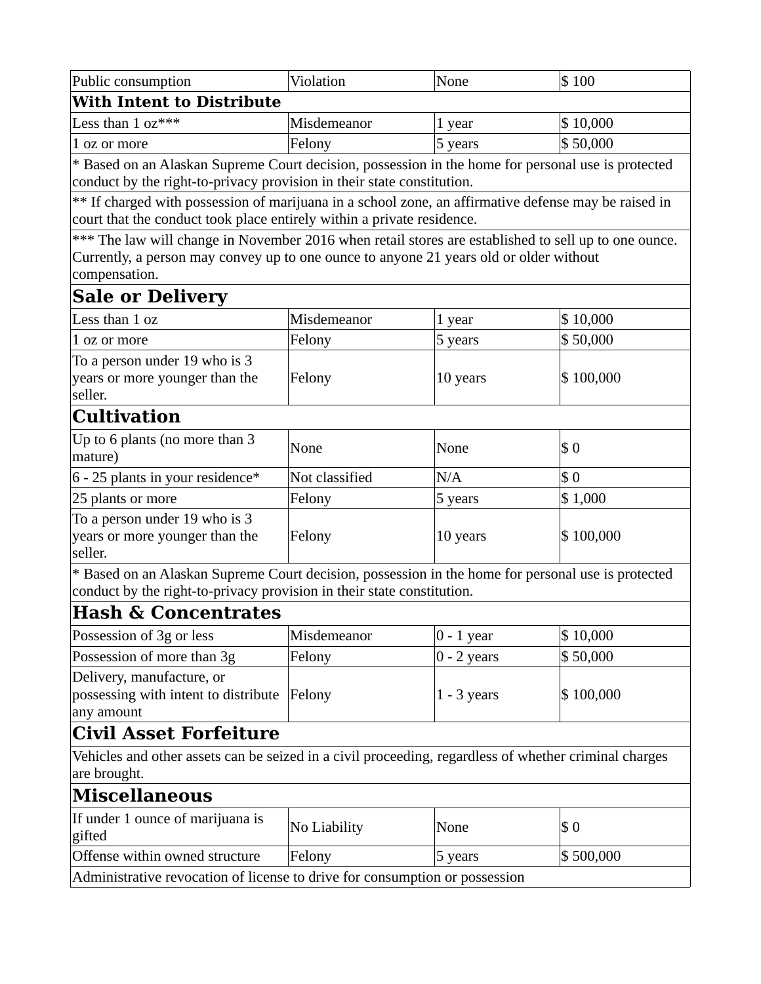| Public consumption                                                                                                                                                             | <b>Violation</b>                                                                                   | None          | \$100     |  |  |
|--------------------------------------------------------------------------------------------------------------------------------------------------------------------------------|----------------------------------------------------------------------------------------------------|---------------|-----------|--|--|
| <b>With Intent to Distribute</b>                                                                                                                                               |                                                                                                    |               |           |  |  |
| Less than 1 oz***                                                                                                                                                              | Misdemeanor                                                                                        | 1 year        | \$10,000  |  |  |
| 1 oz or more                                                                                                                                                                   | Felony                                                                                             | 5 years       | \$50,000  |  |  |
|                                                                                                                                                                                | * Based on an Alaskan Supreme Court decision, possession in the home for personal use is protected |               |           |  |  |
| conduct by the right-to-privacy provision in their state constitution.                                                                                                         |                                                                                                    |               |           |  |  |
| ** If charged with possession of marijuana in a school zone, an affirmative defense may be raised in<br>court that the conduct took place entirely within a private residence. |                                                                                                    |               |           |  |  |
| *** The law will change in November 2016 when retail stores are established to sell up to one ounce.                                                                           |                                                                                                    |               |           |  |  |
| Currently, a person may convey up to one ounce to anyone 21 years old or older without<br>compensation.                                                                        |                                                                                                    |               |           |  |  |
| <b>Sale or Delivery</b>                                                                                                                                                        |                                                                                                    |               |           |  |  |
| Less than 1 oz                                                                                                                                                                 | Misdemeanor                                                                                        | 1 year        | \$10,000  |  |  |
| 1 oz or more                                                                                                                                                                   | Felony                                                                                             | 5 years       | \$50,000  |  |  |
| To a person under 19 who is 3<br>years or more younger than the<br>seller.                                                                                                     | Felony                                                                                             | 10 years      | \$100,000 |  |  |
| <b>Cultivation</b>                                                                                                                                                             |                                                                                                    |               |           |  |  |
| Up to 6 plants (no more than 3<br>mature)                                                                                                                                      | None                                                                                               | None          | \$0       |  |  |
| 6 - 25 plants in your residence*                                                                                                                                               | Not classified                                                                                     | N/A           | \$0       |  |  |
| 25 plants or more                                                                                                                                                              | Felony                                                                                             | 5 years       | \$1,000   |  |  |
| To a person under 19 who is 3<br>years or more younger than the<br>seller.                                                                                                     | Felony                                                                                             | 10 years      | \$100,000 |  |  |
| * Based on an Alaskan Supreme Court decision, possession in the home for personal use is protected<br>conduct by the right-to-privacy provision in their state constitution.   |                                                                                                    |               |           |  |  |
| <b>Hash &amp; Concentrates</b>                                                                                                                                                 |                                                                                                    |               |           |  |  |
| Possession of 3g or less                                                                                                                                                       | Misdemeanor                                                                                        | $0 - 1$ year  | \$10,000  |  |  |
| Possession of more than 3g                                                                                                                                                     | Felony                                                                                             | $0 - 2$ years | \$50,000  |  |  |
| Delivery, manufacture, or<br>possessing with intent to distribute<br>any amount                                                                                                | Felony                                                                                             | $1 - 3$ years | \$100,000 |  |  |
| <b>Civil Asset Forfeiture</b>                                                                                                                                                  |                                                                                                    |               |           |  |  |
| Vehicles and other assets can be seized in a civil proceeding, regardless of whether criminal charges<br>are brought.                                                          |                                                                                                    |               |           |  |  |
| <b>Miscellaneous</b>                                                                                                                                                           |                                                                                                    |               |           |  |  |
| If under 1 ounce of marijuana is<br>gifted                                                                                                                                     | No Liability                                                                                       | None          | \$0       |  |  |
| Offense within owned structure                                                                                                                                                 | Felony                                                                                             | 5 years       | \$500,000 |  |  |
| Administrative revocation of license to drive for consumption or possession                                                                                                    |                                                                                                    |               |           |  |  |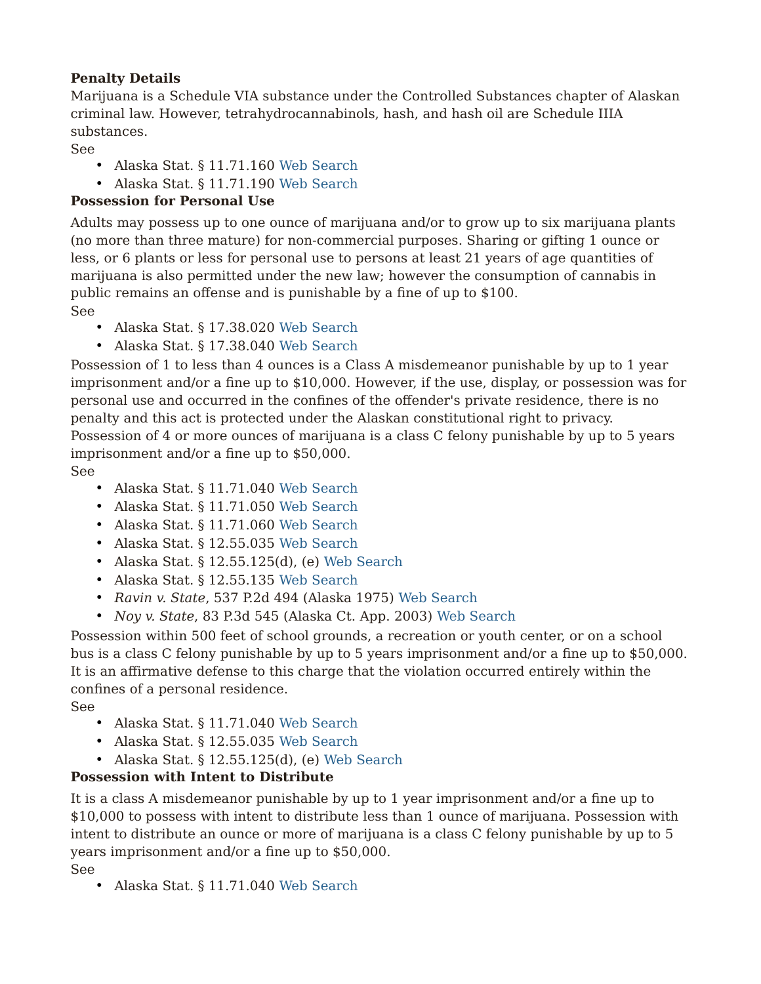## **Penalty Details**

Marijuana is a Schedule VIA substance under the Controlled Substances chapter of Alaskan criminal law. However, tetrahydrocannabinols, hash, and hash oil are Schedule IIIA substances.

See

- Alaska Stat. § 11.71.160 [Web Search](http://www.google.com/search?q=Alaska%20Stat.%20%A7%2011.71.160)
- Alaska Stat. § 11.71.190 [Web Search](http://www.google.com/search?q=%20Alaska%20%20Stat.%20%A7%2011.71.190)

## **Possession for Personal Use**

Adults may possess up to one ounce of marijuana and/or to grow up to six marijuana plants (no more than three mature) for non-commercial purposes. Sharing or gifting 1 ounce or less, or 6 plants or less for personal use to persons at least 21 years of age quantities of marijuana is also permitted under the new law; however the consumption of cannabis in public remains an offense and is punishable by a fine of up to \$100.

See

- Alaska Stat. § 17.38.020 [Web Search](http://www.google.com/search?q=Alaska%20Stat.%20%A7%2017.38.020)
- Alaska Stat. § 17.38.040 [Web Search](http://www.google.com/search?q=Alaska%20Stat.%20%A7%2017.38.040)

Possession of 1 to less than 4 ounces is a Class A misdemeanor punishable by up to 1 year imprisonment and/or a fine up to \$10,000. However, if the use, display, or possession was for personal use and occurred in the confines of the offender's private residence, there is no penalty and this act is protected under the Alaskan constitutional right to privacy. Possession of 4 or more ounces of marijuana is a class C felony punishable by up to 5 years imprisonment and/or a fine up to \$50,000.

See

- Alaska Stat. § 11.71.040 [Web Search](http://www.google.com/search?q=Alaska%20Stat.%20%A7%2011.71.040)
- Alaska Stat. § 11.71.050 [Web Search](http://www.google.com/search?q=%20Alaska%20%20Stat.%20%A7%2011.71.050)
- Alaska Stat. § 11.71.060 [Web Search](http://www.google.com/search?q=%20Alaska%20%20Stat.%20%A7%2011.71.060)
- Alaska Stat. § 12.55.035 [Web Search](http://www.google.com/search?q=%20Alaska%20%20Stat.%20%A7%2012.55.035)
- Alaska Stat. § 12.55.125(d), (e) [Web Search](http://www.google.com/search?q=Alaska%20Stat.%20%A7%2012.55.125(d)%2C%20(e))
- Alaska Stat. § 12.55.135 [Web Search](http://www.google.com/search?q=%20Alaska%20Stat.%20%A7%2012.55.135)
- *Ravin v. State*, 537 P.2d 494 (Alaska 1975) [Web Search](http://www.google.com/search?q=%20%20Ravin%20%20v.%20State%2C%20537%20P.2d%20494%20(Alaska%201975))
- *Noy v. State*, 83 P.3d 545 (Alaska Ct. App. 2003) [Web Search](http://www.google.com/search?q=%20%20Noy%20v.%20State%2C%2083%20P.3d%20545%20(Alaska%20Ct.%20App.%202003))

Possession within 500 feet of school grounds, a recreation or youth center, or on a school bus is a class C felony punishable by up to 5 years imprisonment and/or a fine up to \$50,000. It is an affirmative defense to this charge that the violation occurred entirely within the confines of a personal residence.

See

- Alaska Stat. § 11.71.040 [Web Search](http://www.google.com/search?q=Alaska%20Stat.%20%A7%2011.71.040)
- Alaska Stat. § 12.55.035 [Web Search](http://www.google.com/search?q=%20Alaska%20%20Stat.%20%A7%2012.55.035)
- Alaska Stat. § 12.55.125(d), (e) [Web Search](http://www.google.com/search?q=Alaska%20Stat.%20%A7%2012.55.125(d)%2C%20(e))

## **Possession with Intent to Distribute**

It is a class A misdemeanor punishable by up to 1 year imprisonment and/or a fine up to \$10,000 to possess with intent to distribute less than 1 ounce of marijuana. Possession with intent to distribute an ounce or more of marijuana is a class C felony punishable by up to 5 years imprisonment and/or a fine up to \$50,000.

See

• Alaska Stat. § 11.71.040 [Web Search](http://www.google.com/search?q=Alaska%20Stat.%20%A7%2011.71.040)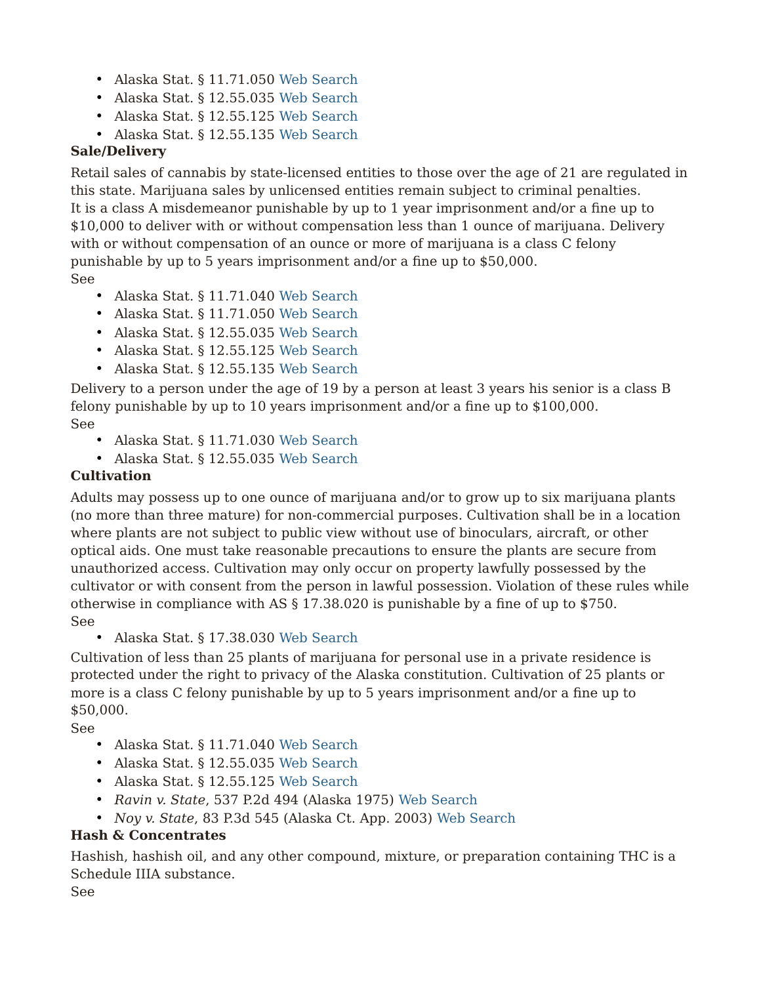- Alaska Stat. § 11.71.050 [Web Search](http://www.google.com/search?q=%20Alaska%20%20Stat.%20%A7%2011.71.050)
- Alaska Stat. § 12.55.035 [Web Search](http://www.google.com/search?q=%20Alaska%20%20Stat.%20%A7%2012.55.035)
- Alaska Stat. § 12.55.125 [Web Search](http://www.google.com/search?q=Alaska%20Stat.%20%20%A7%2012.55.125)
- Alaska Stat. § 12.55.135 [Web Search](http://www.google.com/search?q=%20Alaska%20Stat.%20%A7%2012.55.135)

## **Sale/Delivery**

Retail sales of cannabis by state-licensed entities to those over the age of 21 are regulated in this state. Marijuana sales by unlicensed entities remain subject to criminal penalties. It is a class A misdemeanor punishable by up to 1 year imprisonment and/or a fine up to \$10,000 to deliver with or without compensation less than 1 ounce of marijuana. Delivery with or without compensation of an ounce or more of marijuana is a class C felony punishable by up to 5 years imprisonment and/or a fine up to \$50,000. See

- Alaska Stat. § 11.71.040 [Web Search](http://www.google.com/search?q=Alaska%20Stat.%20%A7%2011.71.040)
- Alaska Stat. § 11.71.050 [Web Search](http://www.google.com/search?q=Alaska%20%20Stat.%20%A7%2011.71.050)
- Alaska Stat. § 12.55.035 [Web Search](http://www.google.com/search?q=Alaska%20%20Stat.%20%A7%2012.55.035)
- Alaska Stat. § 12.55.125 [Web Search](http://www.google.com/search?q=Alaska%20Stat.%20%20%A7%2012.55.125)
- Alaska Stat. § 12.55.135 [Web Search](http://www.google.com/search?q=Alaska%20Stat.%20%A7%2012.55.135)

Delivery to a person under the age of 19 by a person at least 3 years his senior is a class B felony punishable by up to 10 years imprisonment and/or a fine up to \$100,000. See

- Alaska Stat. § 11.71.030 [Web Search](http://www.google.com/search?q=Alaska%20Stat.%20%A7%2011.71.030)
- Alaska Stat. § 12.55.035 [Web Search](http://www.google.com/search?q=%20Alaska%20%20Stat.%20%A7%2012.55.035)

## **Cultivation**

Adults may possess up to one ounce of marijuana and/or to grow up to six marijuana plants (no more than three mature) for non-commercial purposes. Cultivation shall be in a location where plants are not subject to public view without use of binoculars, aircraft, or other optical aids. One must take reasonable precautions to ensure the plants are secure from unauthorized access. Cultivation may only occur on property lawfully possessed by the cultivator or with consent from the person in lawful possession. Violation of these rules while otherwise in compliance with AS § 17.38.020 is punishable by a fine of up to \$750. See

• Alaska Stat. § 17.38.030 [Web Search](http://www.google.com/search?q=Alaska%20Stat.%20%A7%2017.38.030)

Cultivation of less than 25 plants of marijuana for personal use in a private residence is protected under the right to privacy of the Alaska constitution. Cultivation of 25 plants or more is a class C felony punishable by up to 5 years imprisonment and/or a fine up to \$50,000.

See

- Alaska Stat. § 11.71.040 [Web Search](http://www.google.com/search?q=Alaska%20Stat.%20%A7%2011.71.040)
- Alaska Stat. § 12.55.035 [Web Search](http://www.google.com/search?q=%20Alaska%20Stat.%20%A7%2012.55.035)
- Alaska Stat. § 12.55.125 [Web Search](http://www.google.com/search?q=Alaska%20Stat.%20%20%A7%2012.55.125)
- *Ravin v. State*, 537 P.2d 494 (Alaska 1975) [Web Search](http://www.google.com/search?q=%20%20%20%20Ravin%20%20v.%20State%2C%20537%20P.2d%20494%20(Alaska%201975))
- *Noy v. State*, 83 P.3d 545 (Alaska Ct. App. 2003) [Web Search](http://www.google.com/search?q=%20%20%20%20Noy%20v.%20State%2C%2083%20P.3d%20545%20(Alaska%20Ct.%20App.%202003))

## **Hash & Concentrates**

Hashish, hashish oil, and any other compound, mixture, or preparation containing THC is a Schedule IIIA substance.

See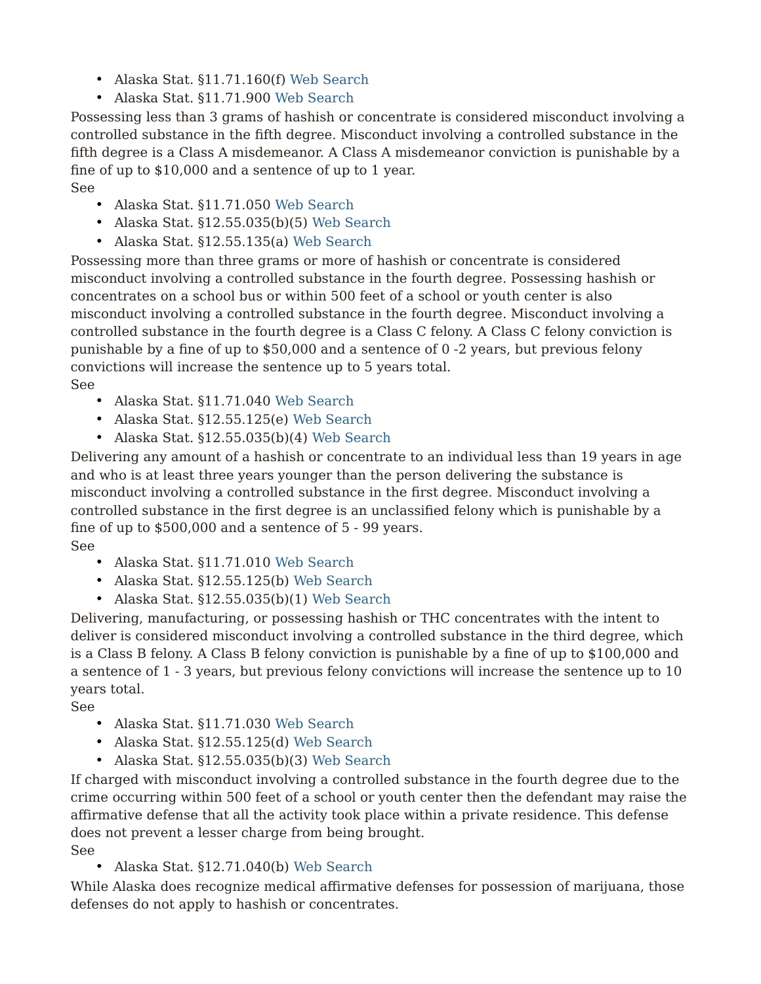- Alaska Stat. §11.71.160(f) [Web Search](http://www.google.com/search?q=%20Alaska%20Stat.%20%A711.71.160(f))
- Alaska Stat. §11.71.900 [Web Search](http://www.google.com/search?q=%20Alaska%20Stat.%20%A711.71.900)

Possessing less than 3 grams of hashish or concentrate is considered misconduct involving a controlled substance in the fifth degree. Misconduct involving a controlled substance in the fifth degree is a Class A misdemeanor. A Class A misdemeanor conviction is punishable by a fine of up to \$10,000 and a sentence of up to 1 year. See

- Alaska Stat. §11.71.050 [Web Search](http://www.google.com/search?q=%20Alaska%20Stat.%20%A711.71.050)
- Alaska Stat. §12.55.035(b)(5) [Web Search](http://www.google.com/search?q=%20Alaska%20Stat.%20%A712.55.035(b)(5))
- Alaska Stat. §12.55.135(a) [Web Search](http://www.google.com/search?q=%20Alaska%20Stat.%20%A712.55.135(a))

Possessing more than three grams or more of hashish or concentrate is considered misconduct involving a controlled substance in the fourth degree. Possessing hashish or concentrates on a school bus or within 500 feet of a school or youth center is also misconduct involving a controlled substance in the fourth degree. Misconduct involving a controlled substance in the fourth degree is a Class C felony. A Class C felony conviction is punishable by a fine of up to \$50,000 and a sentence of 0 -2 years, but previous felony convictions will increase the sentence up to 5 years total.

- See
	- Alaska Stat. §11.71.040 [Web Search](http://www.google.com/search?q=%20Alaska%20Stat.%20%A711.71.040)
	- Alaska Stat. §12.55.125(e) [Web Search](http://www.google.com/search?q=%20Alaska%20Stat.%20%A712.55.125(e))
	- Alaska Stat. §12.55.035(b)(4) [Web Search](http://www.google.com/search?q=%20Alaska%20Stat.%20%A712.55.035(b)(4))

Delivering any amount of a hashish or concentrate to an individual less than 19 years in age and who is at least three years younger than the person delivering the substance is misconduct involving a controlled substance in the first degree. Misconduct involving a controlled substance in the first degree is an unclassified felony which is punishable by a fine of up to \$500,000 and a sentence of 5 - 99 years.

## See

- Alaska Stat. §11.71.010 [Web Search](http://www.google.com/search?q=%20Alaska%20Stat.%20%A711.71.010)
- Alaska Stat. §12.55.125(b) [Web Search](http://www.google.com/search?q=%20Alaska%20Stat.%20%A712.55.125(b))
- Alaska Stat. §12.55.035(b)(1) [Web Search](http://www.google.com/search?q=%20Alaska%20Stat.%20%A712.55.035(b)(1))

Delivering, manufacturing, or possessing hashish or THC concentrates with the intent to deliver is considered misconduct involving a controlled substance in the third degree, which is a Class B felony. A Class B felony conviction is punishable by a fine of up to \$100,000 and a sentence of 1 - 3 years, but previous felony convictions will increase the sentence up to 10 years total.

See

- Alaska Stat. §11.71.030 [Web Search](http://www.google.com/search?q=%20Alaska%20Stat.%20%A711.71.030)
- Alaska Stat. §12.55.125(d) [Web Search](http://www.google.com/search?q=%20Alaska%20Stat.%20%A712.55.125(d))
- Alaska Stat. §12.55.035(b)(3) [Web Search](http://www.google.com/search?q=%20Alaska%20Stat.%20%A712.55.035(b)(3))

If charged with misconduct involving a controlled substance in the fourth degree due to the crime occurring within 500 feet of a school or youth center then the defendant may raise the affirmative defense that all the activity took place within a private residence. This defense does not prevent a lesser charge from being brought. See

• Alaska Stat. §12.71.040(b) [Web Search](http://www.google.com/search?q=Alaska%20Stat.%20%20%A712.71.040(b))

While Alaska does recognize medical affirmative defenses for possession of marijuana, those defenses do not apply to hashish or concentrates.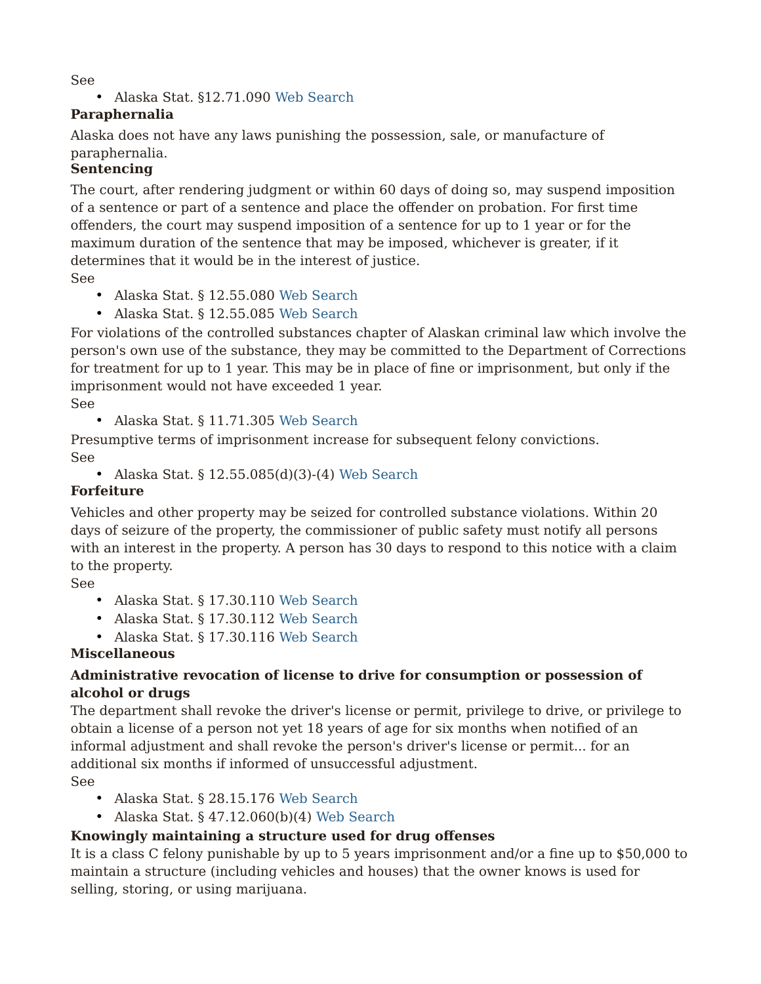See

• Alaska Stat. §12.71.090 [Web Search](http://www.google.com/search?q=Alaska%20Stat.%20%20%A712.71.090)

## **Paraphernalia**

Alaska does not have any laws punishing the possession, sale, or manufacture of paraphernalia.

## **Sentencing**

The court, after rendering judgment or within 60 days of doing so, may suspend imposition of a sentence or part of a sentence and place the offender on probation. For first time offenders, the court may suspend imposition of a sentence for up to 1 year or for the maximum duration of the sentence that may be imposed, whichever is greater, if it determines that it would be in the interest of justice.

## See

- Alaska Stat. § 12.55.080 [Web Search](http://www.google.com/search?q=Alaska%20Stat.%20%A7%2012.55.080)
- Alaska Stat. § 12.55.085 [Web Search](http://www.google.com/search?q=%20Alaska%20Stat.%20%A7%2012.55.085%20)

For violations of the controlled substances chapter of Alaskan criminal law which involve the person's own use of the substance, they may be committed to the Department of Corrections for treatment for up to 1 year. This may be in place of fine or imprisonment, but only if the imprisonment would not have exceeded 1 year.

See

• Alaska Stat. § 11.71.305 [Web Search](http://www.google.com/search?q=Alaska%20Stat.%20%A7%2011.71.305)

Presumptive terms of imprisonment increase for subsequent felony convictions. See

• Alaska Stat. § 12.55.085(d)(3)-(4) [Web Search](http://www.google.com/search?q=Alaska%20Stat.%20%A7%2012.55.085(d)(3)-(4))

## **Forfeiture**

Vehicles and other property may be seized for controlled substance violations. Within 20 days of seizure of the property, the commissioner of public safety must notify all persons with an interest in the property. A person has 30 days to respond to this notice with a claim to the property.

See

- Alaska Stat. § 17.30.110 [Web Search](http://www.google.com/search?q=Alaska%20Stat.%20%A7%2017.30.110)
- Alaska Stat. § 17.30.112 [Web Search](http://www.google.com/search?q=%20Alaska%20Stat.%20%A7%2017.30.112)
- Alaska Stat. § 17.30.116 [Web Search](http://www.google.com/search?q=%20Alaska%20Stat.%20%A7%2017.30.116)

## **Miscellaneous**

## **Administrative revocation of license to drive for consumption or possession of alcohol or drugs**

The department shall revoke the driver's license or permit, privilege to drive, or privilege to obtain a license of a person not yet 18 years of age for six months when notified of an informal adjustment and shall revoke the person's driver's license or permit... for an additional six months if informed of unsuccessful adjustment. See

- Alaska Stat. § 28.15.176 [Web Search](http://www.google.com/search?q=Alaska%20Stat.%20%A7%2028.15.176)
- Alaska Stat. § 47.12.060(b)(4) [Web Search](http://www.google.com/search?q=Alaska%20Stat.%20%A7%2047.12.060(b)(4))

## **Knowingly maintaining a structure used for drug offenses**

It is a class C felony punishable by up to 5 years imprisonment and/or a fine up to \$50,000 to maintain a structure (including vehicles and houses) that the owner knows is used for selling, storing, or using marijuana.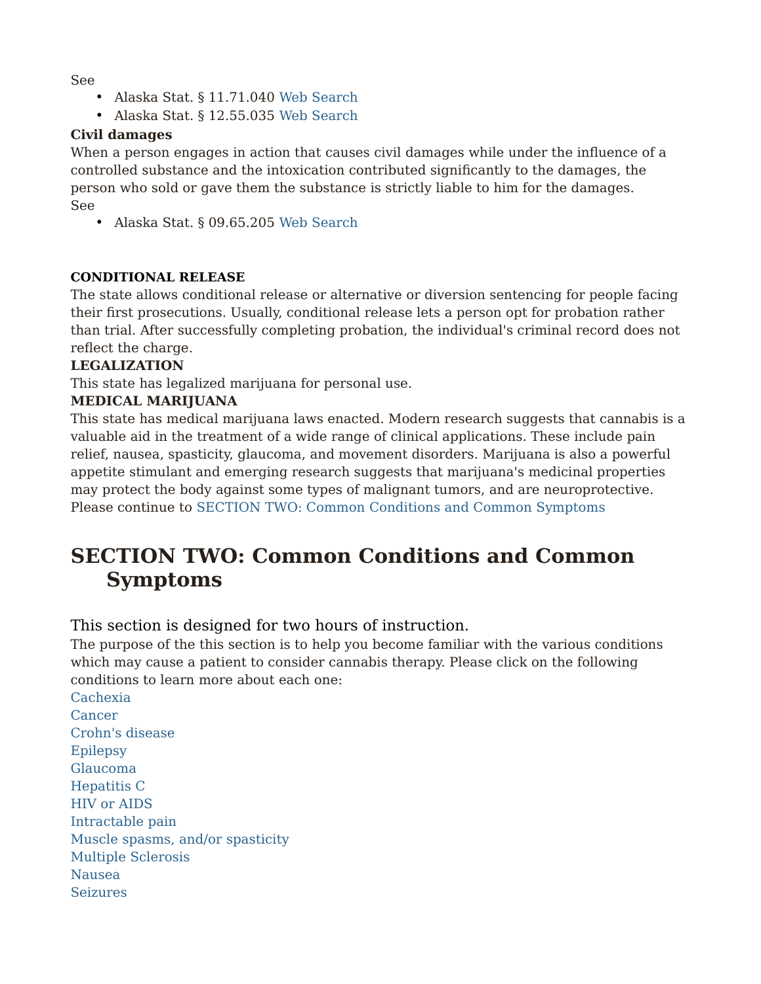See

- Alaska Stat. § 11.71.040 [Web Search](http://www.google.com/search?q=Alaska%20Stat.%20%A7%2011.71.040)
- Alaska Stat. § 12.55.035 [Web Search](http://www.google.com/search?q=%20Alaska%20%20Stat.%20%A7%2012.55.035)

#### **Civil damages**

When a person engages in action that causes civil damages while under the influence of a controlled substance and the intoxication contributed significantly to the damages, the person who sold or gave them the substance is strictly liable to him for the damages. See

• Alaska Stat. § 09.65.205 [Web Search](http://www.google.com/search?q=Alaska%20Stat.%20%A7%2009.65.205)

## **CONDITIONAL RELEASE**

The state allows conditional release or alternative or diversion sentencing for people facing their first prosecutions. Usually, conditional release lets a person opt for probation rather than trial. After successfully completing probation, the individual's criminal record does not reflect the charge.

#### **LEGALIZATION**

This state has legalized marijuana for personal use.

## **MEDICAL MARIJUANA**

This state has medical marijuana laws enacted. Modern research suggests that cannabis is a valuable aid in the treatment of a wide range of clinical applications. These include pain relief, nausea, spasticity, glaucoma, and movement disorders. Marijuana is also a powerful appetite stimulant and emerging research suggests that marijuana's medicinal properties may protect the body against some types of malignant tumors, and are neuroprotective. Please continue to [SECTION TWO: Common Conditions and Common Symptoms](https://medicalmarijuanaunited.com/school/mod/page/view.php?id=440)

## **SECTION TWO: Common Conditions and Common Symptoms**

This section is designed for two hours of instruction.

The purpose of the this section is to help you become familiar with the various conditions which may cause a patient to consider cannabis therapy. Please click on the following conditions to learn more about each one:

[Cachexia](https://en.wikipedia.org/wiki/Cachexia) [Cancer](https://en.wikipedia.org/wiki/Cancer) [Crohn's disease](https://en.wikipedia.org/wiki/Crohns) [Epilepsy](https://en.wikipedia.org/wiki/Epilepsy) [Glaucoma](https://en.wikipedia.org/wiki/Glaucoma) [Hepatitis C](https://en.wikipedia.org/wiki/Hepatitis) [HIV or AIDS](https://en.wikipedia.org/wiki/HIV/AIDS) [Intractable pain](https://en.wikipedia.org/wiki/Intractable_pain) [Muscle spasms, and/or spasticity](https://en.wikipedia.org/wiki/Muscle_spasms) [Multiple Sclerosis](https://en.wikipedia.org/wiki/Multiple_sclerosis) [Nausea](https://en.wikipedia.org/wiki/Nausea) [Seizures](https://en.wikipedia.org/wiki/Seizures)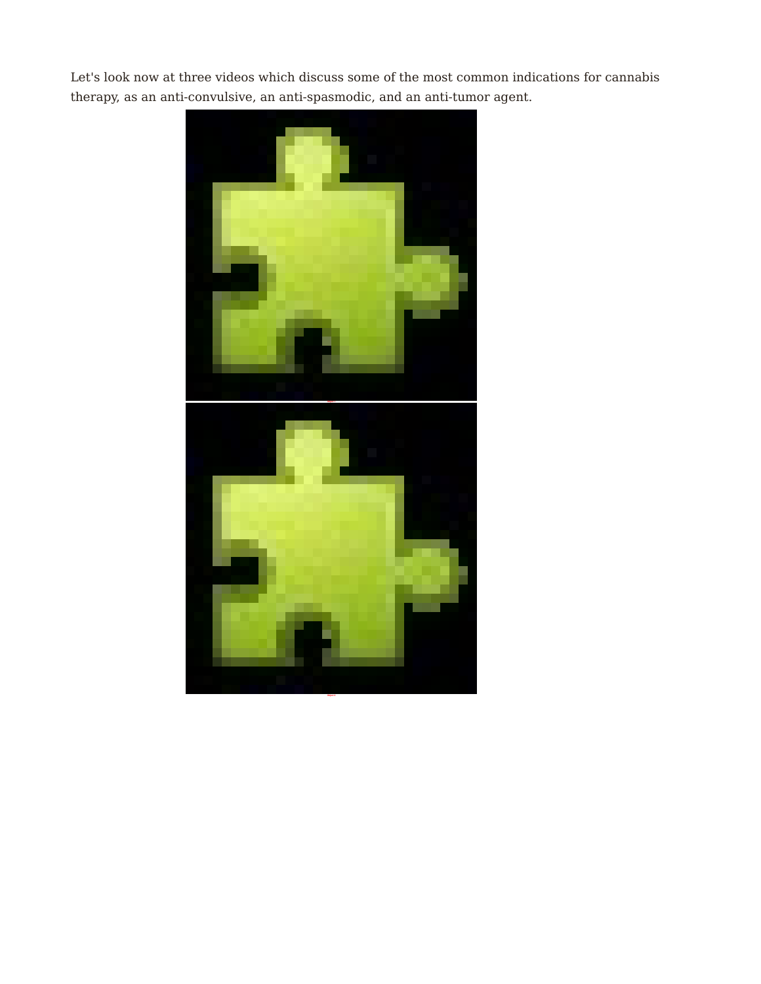Let's look now at three videos which discuss some of the most common indications for cannabis therapy, as an anti-convulsive, an anti-spasmodic, and an anti-tumor agent.

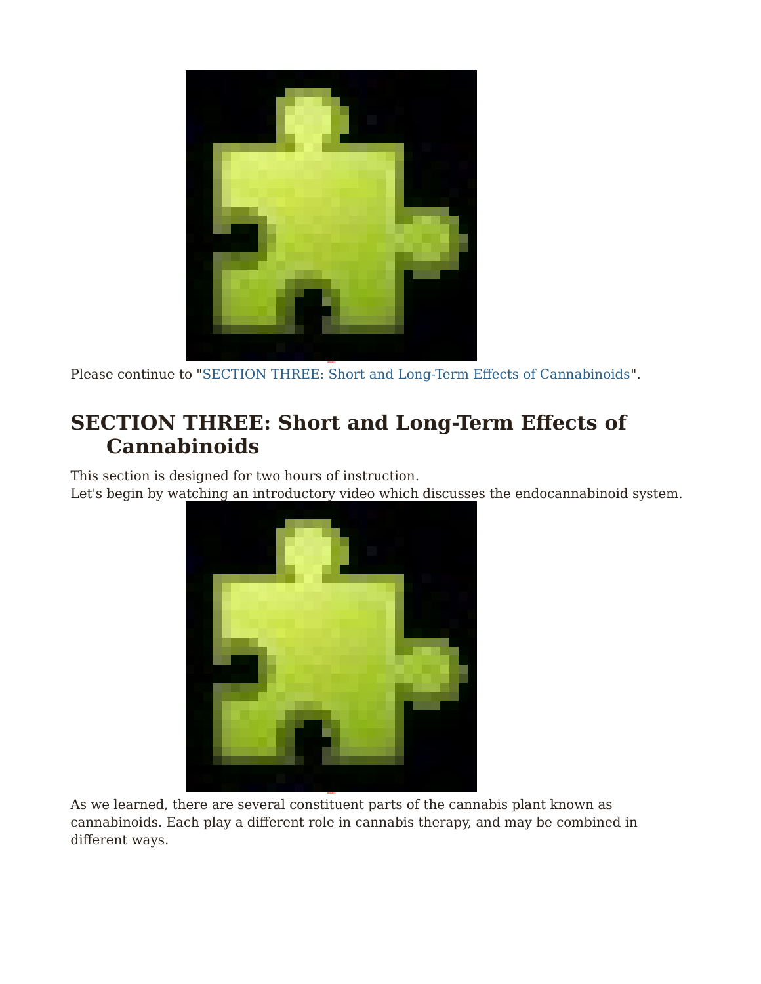

Please continue to ["SECTION THREE: Short and Long-Term Effects of Cannabinoids"](https://medicalmarijuanaunited.com/school/mod/page/view.php?id=441).

## **SECTION THREE: Short and Long-Term Effects of Cannabinoids**

This section is designed for two hours of instruction. Let's begin by watching an introductory video which discusses the endocannabinoid system.



As we learned, there are several constituent parts of the cannabis plant known as cannabinoids. Each play a different role in cannabis therapy, and may be combined in different ways.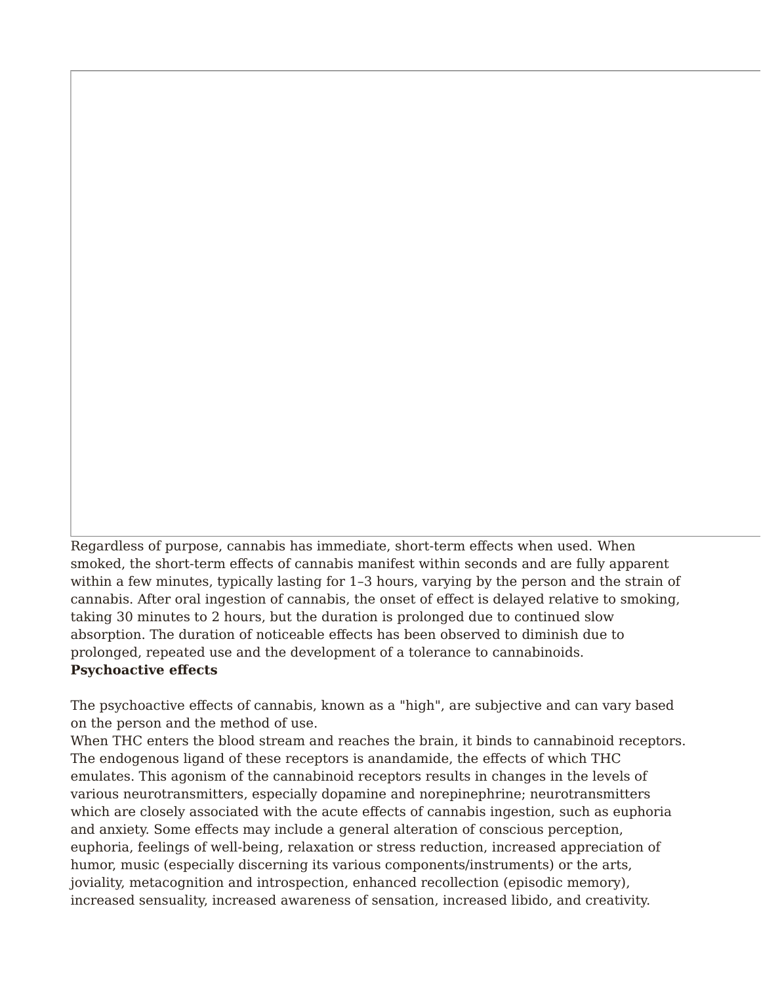Regardless of purpose, cannabis has immediate, short-term effects when used. When smoked, the short-term effects of cannabis manifest within seconds and are fully apparent within a few minutes, typically lasting for 1–3 hours, varying by the person and the strain of cannabis. After oral ingestion of cannabis, the onset of effect is delayed relative to smoking, taking 30 minutes to 2 hours, but the duration is prolonged due to continued slow absorption. The duration of noticeable effects has been observed to diminish due to prolonged, repeated use and the development of a tolerance to cannabinoids. **Psychoactive effects**

The psychoactive effects of cannabis, known as a "high", are subjective and can vary based on the person and the method of use.

When THC enters the blood stream and reaches the brain, it binds to cannabinoid receptors. The endogenous ligand of these receptors is anandamide, the effects of which THC emulates. This agonism of the cannabinoid receptors results in changes in the levels of various neurotransmitters, especially dopamine and norepinephrine; neurotransmitters which are closely associated with the acute effects of cannabis ingestion, such as euphoria and anxiety. Some effects may include a general alteration of conscious perception, euphoria, feelings of well-being, relaxation or stress reduction, increased appreciation of humor, music (especially discerning its various components/instruments) or the arts, joviality, metacognition and introspection, enhanced recollection (episodic memory), increased sensuality, increased awareness of sensation, increased libido, and creativity.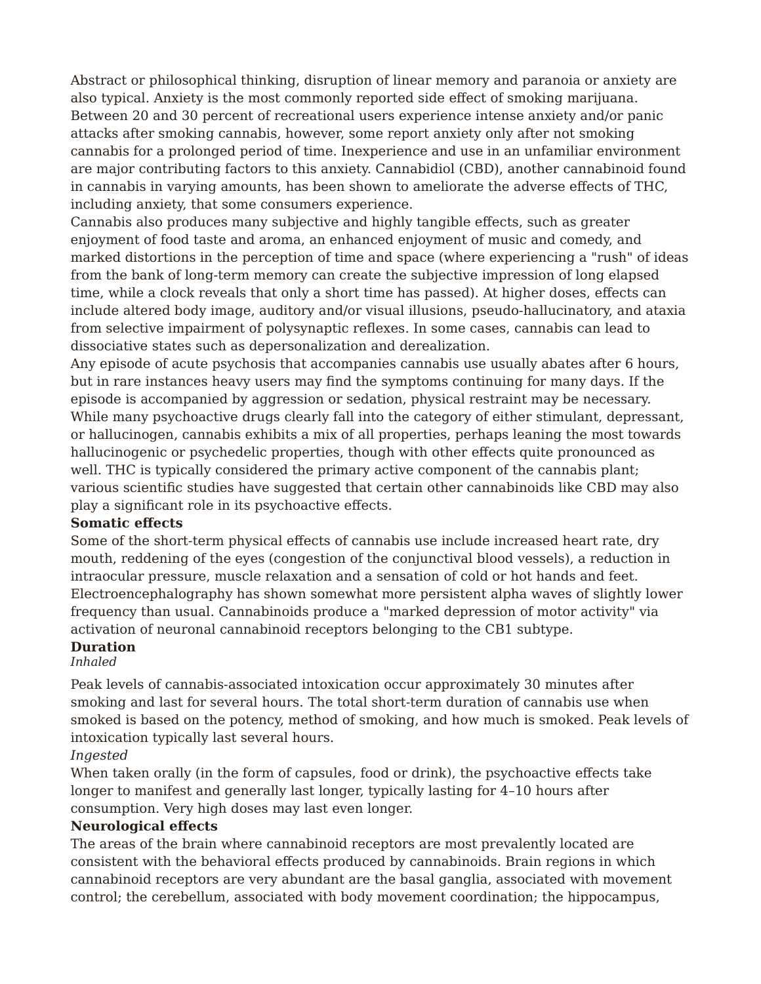Abstract or philosophical thinking, disruption of linear memory and paranoia or anxiety are also typical. Anxiety is the most commonly reported side effect of smoking marijuana. Between 20 and 30 percent of recreational users experience intense anxiety and/or panic attacks after smoking cannabis, however, some report anxiety only after not smoking cannabis for a prolonged period of time. Inexperience and use in an unfamiliar environment are major contributing factors to this anxiety. Cannabidiol (CBD), another cannabinoid found in cannabis in varying amounts, has been shown to ameliorate the adverse effects of THC, including anxiety, that some consumers experience.

Cannabis also produces many subjective and highly tangible effects, such as greater enjoyment of food taste and aroma, an enhanced enjoyment of music and comedy, and marked distortions in the perception of time and space (where experiencing a "rush" of ideas from the bank of long-term memory can create the subjective impression of long elapsed time, while a clock reveals that only a short time has passed). At higher doses, effects can include altered body image, auditory and/or visual illusions, pseudo-hallucinatory, and ataxia from selective impairment of polysynaptic reflexes. In some cases, cannabis can lead to dissociative states such as depersonalization and derealization.

Any episode of acute psychosis that accompanies cannabis use usually abates after 6 hours, but in rare instances heavy users may find the symptoms continuing for many days. If the episode is accompanied by aggression or sedation, physical restraint may be necessary. While many psychoactive drugs clearly fall into the category of either stimulant, depressant, or hallucinogen, cannabis exhibits a mix of all properties, perhaps leaning the most towards hallucinogenic or psychedelic properties, though with other effects quite pronounced as well. THC is typically considered the primary active component of the cannabis plant; various scientific studies have suggested that certain other cannabinoids like CBD may also play a significant role in its psychoactive effects.

#### **Somatic effects**

Some of the short-term physical effects of cannabis use include increased heart rate, dry mouth, reddening of the eyes (congestion of the conjunctival blood vessels), a reduction in intraocular pressure, muscle relaxation and a sensation of cold or hot hands and feet. Electroencephalography has shown somewhat more persistent alpha waves of slightly lower frequency than usual. Cannabinoids produce a "marked depression of motor activity" via activation of neuronal cannabinoid receptors belonging to the CB1 subtype.

#### **Duration**

#### *Inhaled*

Peak levels of cannabis-associated intoxication occur approximately 30 minutes after smoking and last for several hours. The total short-term duration of cannabis use when smoked is based on the potency, method of smoking, and how much is smoked. Peak levels of intoxication typically last several hours.

#### *Ingested*

When taken orally (in the form of capsules, food or drink), the psychoactive effects take longer to manifest and generally last longer, typically lasting for 4–10 hours after consumption. Very high doses may last even longer.

## **Neurological effects**

The areas of the brain where cannabinoid receptors are most prevalently located are consistent with the behavioral effects produced by cannabinoids. Brain regions in which cannabinoid receptors are very abundant are the basal ganglia, associated with movement control; the cerebellum, associated with body movement coordination; the hippocampus,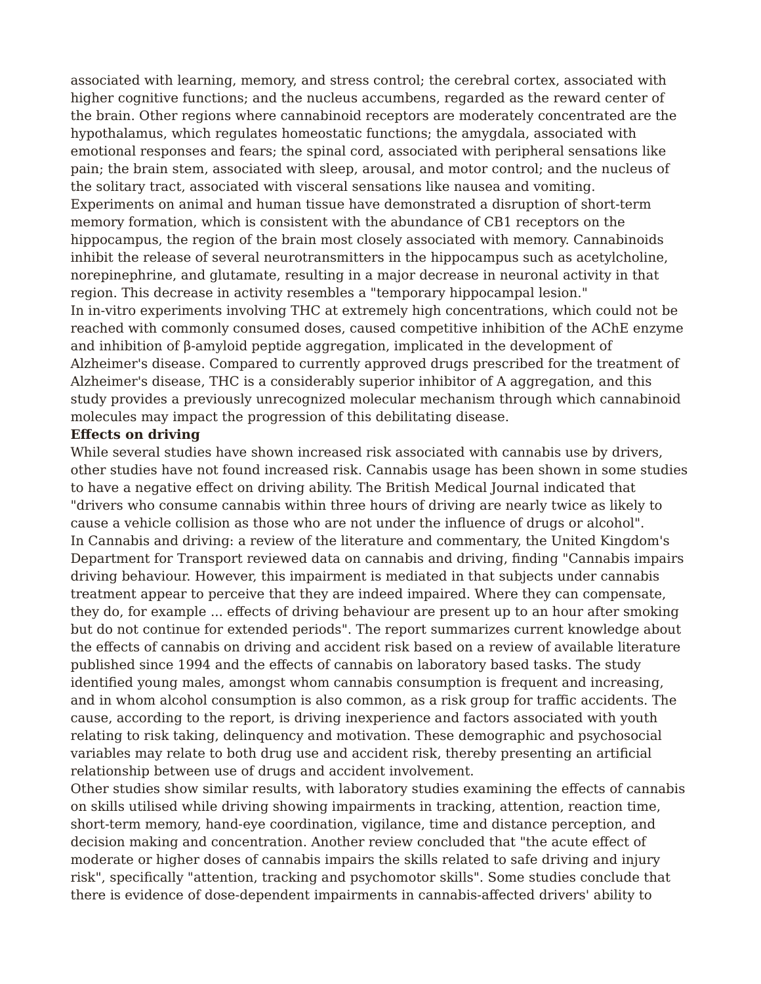associated with learning, memory, and stress control; the cerebral cortex, associated with higher cognitive functions; and the nucleus accumbens, regarded as the reward center of the brain. Other regions where cannabinoid receptors are moderately concentrated are the hypothalamus, which regulates homeostatic functions; the amygdala, associated with emotional responses and fears; the spinal cord, associated with peripheral sensations like pain; the brain stem, associated with sleep, arousal, and motor control; and the nucleus of the solitary tract, associated with visceral sensations like nausea and vomiting. Experiments on animal and human tissue have demonstrated a disruption of short-term memory formation, which is consistent with the abundance of CB1 receptors on the hippocampus, the region of the brain most closely associated with memory. Cannabinoids inhibit the release of several neurotransmitters in the hippocampus such as acetylcholine, norepinephrine, and glutamate, resulting in a major decrease in neuronal activity in that region. This decrease in activity resembles a "temporary hippocampal lesion." In in-vitro experiments involving THC at extremely high concentrations, which could not be reached with commonly consumed doses, caused competitive inhibition of the AChE enzyme and inhibition of β-amyloid peptide aggregation, implicated in the development of Alzheimer's disease. Compared to currently approved drugs prescribed for the treatment of Alzheimer's disease, THC is a considerably superior inhibitor of A aggregation, and this study provides a previously unrecognized molecular mechanism through which cannabinoid molecules may impact the progression of this debilitating disease.

#### **Effects on driving**

While several studies have shown increased risk associated with cannabis use by drivers, other studies have not found increased risk. Cannabis usage has been shown in some studies to have a negative effect on driving ability. The British Medical Journal indicated that "drivers who consume cannabis within three hours of driving are nearly twice as likely to cause a vehicle collision as those who are not under the influence of drugs or alcohol". In Cannabis and driving: a review of the literature and commentary, the United Kingdom's Department for Transport reviewed data on cannabis and driving, finding "Cannabis impairs driving behaviour. However, this impairment is mediated in that subjects under cannabis treatment appear to perceive that they are indeed impaired. Where they can compensate, they do, for example ... effects of driving behaviour are present up to an hour after smoking but do not continue for extended periods". The report summarizes current knowledge about the effects of cannabis on driving and accident risk based on a review of available literature published since 1994 and the effects of cannabis on laboratory based tasks. The study identified young males, amongst whom cannabis consumption is frequent and increasing, and in whom alcohol consumption is also common, as a risk group for traffic accidents. The cause, according to the report, is driving inexperience and factors associated with youth relating to risk taking, delinquency and motivation. These demographic and psychosocial variables may relate to both drug use and accident risk, thereby presenting an artificial relationship between use of drugs and accident involvement.

Other studies show similar results, with laboratory studies examining the effects of cannabis on skills utilised while driving showing impairments in tracking, attention, reaction time, short-term memory, hand-eye coordination, vigilance, time and distance perception, and decision making and concentration. Another review concluded that "the acute effect of moderate or higher doses of cannabis impairs the skills related to safe driving and injury risk", specifically "attention, tracking and psychomotor skills". Some studies conclude that there is evidence of dose-dependent impairments in cannabis-affected drivers' ability to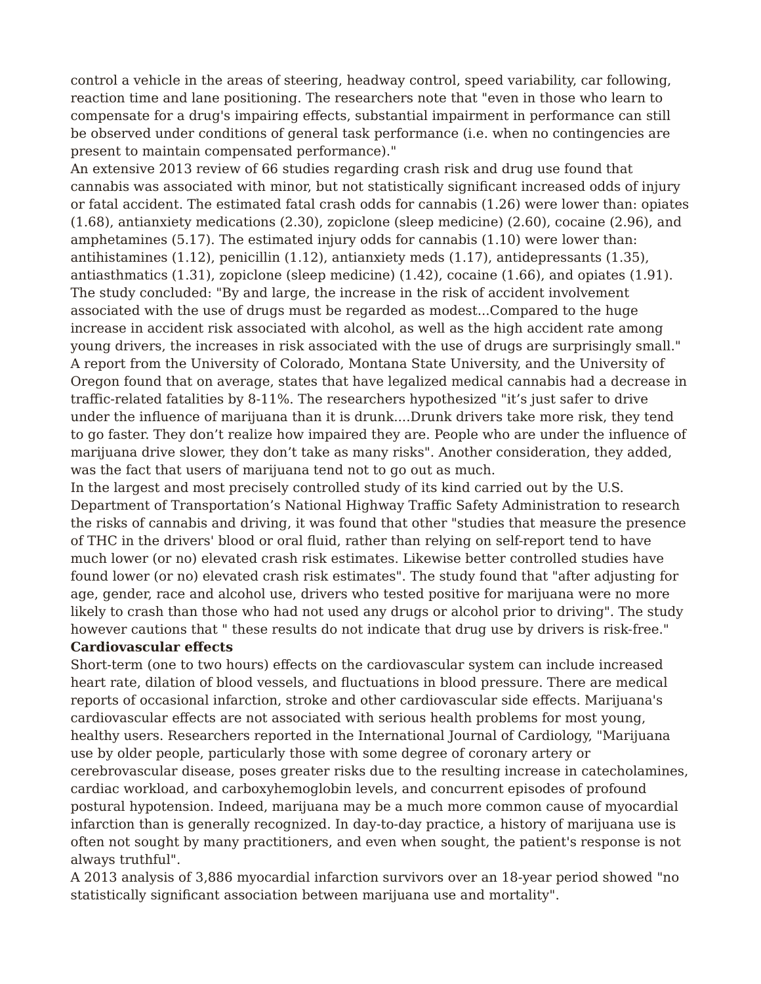control a vehicle in the areas of steering, headway control, speed variability, car following, reaction time and lane positioning. The researchers note that "even in those who learn to compensate for a drug's impairing effects, substantial impairment in performance can still be observed under conditions of general task performance (i.e. when no contingencies are present to maintain compensated performance)."

An extensive 2013 review of 66 studies regarding crash risk and drug use found that cannabis was associated with minor, but not statistically significant increased odds of injury or fatal accident. The estimated fatal crash odds for cannabis (1.26) were lower than: opiates (1.68), antianxiety medications (2.30), zopiclone (sleep medicine) (2.60), cocaine (2.96), and amphetamines (5.17). The estimated injury odds for cannabis (1.10) were lower than: antihistamines (1.12), penicillin (1.12), antianxiety meds (1.17), antidepressants (1.35), antiasthmatics (1.31), zopiclone (sleep medicine) (1.42), cocaine (1.66), and opiates (1.91). The study concluded: "By and large, the increase in the risk of accident involvement associated with the use of drugs must be regarded as modest...Compared to the huge increase in accident risk associated with alcohol, as well as the high accident rate among young drivers, the increases in risk associated with the use of drugs are surprisingly small." A report from the University of Colorado, Montana State University, and the University of Oregon found that on average, states that have legalized medical cannabis had a decrease in traffic-related fatalities by 8-11%. The researchers hypothesized "it's just safer to drive under the influence of marijuana than it is drunk....Drunk drivers take more risk, they tend to go faster. They don't realize how impaired they are. People who are under the influence of marijuana drive slower, they don't take as many risks". Another consideration, they added, was the fact that users of marijuana tend not to go out as much.

In the largest and most precisely controlled study of its kind carried out by the U.S. Department of Transportation's National Highway Traffic Safety Administration to research the risks of cannabis and driving, it was found that other "studies that measure the presence of THC in the drivers' blood or oral fluid, rather than relying on self-report tend to have much lower (or no) elevated crash risk estimates. Likewise better controlled studies have found lower (or no) elevated crash risk estimates". The study found that "after adjusting for age, gender, race and alcohol use, drivers who tested positive for marijuana were no more likely to crash than those who had not used any drugs or alcohol prior to driving". The study however cautions that " these results do not indicate that drug use by drivers is risk-free."

#### **Cardiovascular effects**

Short-term (one to two hours) effects on the cardiovascular system can include increased heart rate, dilation of blood vessels, and fluctuations in blood pressure. There are medical reports of occasional infarction, stroke and other cardiovascular side effects. Marijuana's cardiovascular effects are not associated with serious health problems for most young, healthy users. Researchers reported in the International Journal of Cardiology, "Marijuana use by older people, particularly those with some degree of coronary artery or cerebrovascular disease, poses greater risks due to the resulting increase in catecholamines, cardiac workload, and carboxyhemoglobin levels, and concurrent episodes of profound postural hypotension. Indeed, marijuana may be a much more common cause of myocardial infarction than is generally recognized. In day-to-day practice, a history of marijuana use is often not sought by many practitioners, and even when sought, the patient's response is not always truthful".

A 2013 analysis of 3,886 myocardial infarction survivors over an 18-year period showed "no statistically significant association between marijuana use and mortality".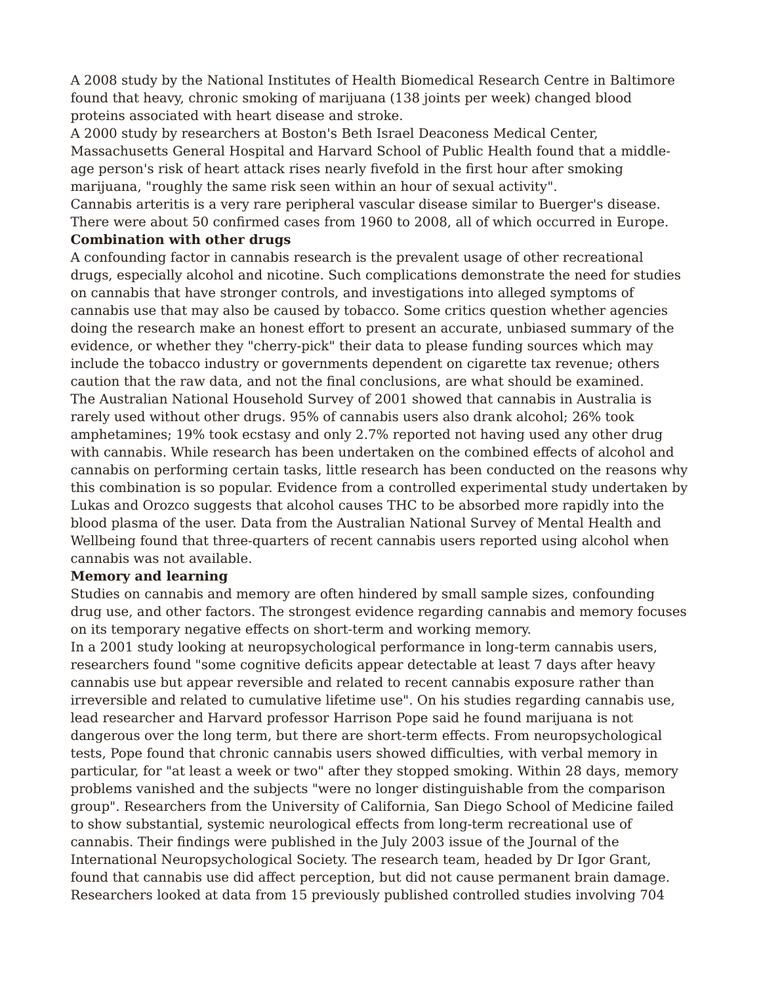A 2008 study by the National Institutes of Health Biomedical Research Centre in Baltimore found that heavy, chronic smoking of marijuana (138 joints per week) changed blood proteins associated with heart disease and stroke.

A 2000 study by researchers at Boston's Beth Israel Deaconess Medical Center, Massachusetts General Hospital and Harvard School of Public Health found that a middleage person's risk of heart attack rises nearly fivefold in the first hour after smoking marijuana, "roughly the same risk seen within an hour of sexual activity".

Cannabis arteritis is a very rare peripheral vascular disease similar to Buerger's disease. There were about 50 confirmed cases from 1960 to 2008, all of which occurred in Europe.

#### **Combination with other drugs**

A confounding factor in cannabis research is the prevalent usage of other recreational drugs, especially alcohol and nicotine. Such complications demonstrate the need for studies on cannabis that have stronger controls, and investigations into alleged symptoms of cannabis use that may also be caused by tobacco. Some critics question whether agencies doing the research make an honest effort to present an accurate, unbiased summary of the evidence, or whether they "cherry-pick" their data to please funding sources which may include the tobacco industry or governments dependent on cigarette tax revenue; others caution that the raw data, and not the final conclusions, are what should be examined. The Australian National Household Survey of 2001 showed that cannabis in Australia is rarely used without other drugs. 95% of cannabis users also drank alcohol; 26% took amphetamines; 19% took ecstasy and only 2.7% reported not having used any other drug with cannabis. While research has been undertaken on the combined effects of alcohol and cannabis on performing certain tasks, little research has been conducted on the reasons why this combination is so popular. Evidence from a controlled experimental study undertaken by Lukas and Orozco suggests that alcohol causes THC to be absorbed more rapidly into the blood plasma of the user. Data from the Australian National Survey of Mental Health and Wellbeing found that three-quarters of recent cannabis users reported using alcohol when cannabis was not available.

#### **Memory and learning**

Studies on cannabis and memory are often hindered by small sample sizes, confounding drug use, and other factors. The strongest evidence regarding cannabis and memory focuses on its temporary negative effects on short-term and working memory.

In a 2001 study looking at neuropsychological performance in long-term cannabis users, researchers found "some cognitive deficits appear detectable at least 7 days after heavy cannabis use but appear reversible and related to recent cannabis exposure rather than irreversible and related to cumulative lifetime use". On his studies regarding cannabis use, lead researcher and Harvard professor Harrison Pope said he found marijuana is not dangerous over the long term, but there are short-term effects. From neuropsychological tests, Pope found that chronic cannabis users showed difficulties, with verbal memory in particular, for "at least a week or two" after they stopped smoking. Within 28 days, memory problems vanished and the subjects "were no longer distinguishable from the comparison group". Researchers from the University of California, San Diego School of Medicine failed to show substantial, systemic neurological effects from long-term recreational use of cannabis. Their findings were published in the July 2003 issue of the Journal of the International Neuropsychological Society. The research team, headed by Dr Igor Grant, found that cannabis use did affect perception, but did not cause permanent brain damage. Researchers looked at data from 15 previously published controlled studies involving 704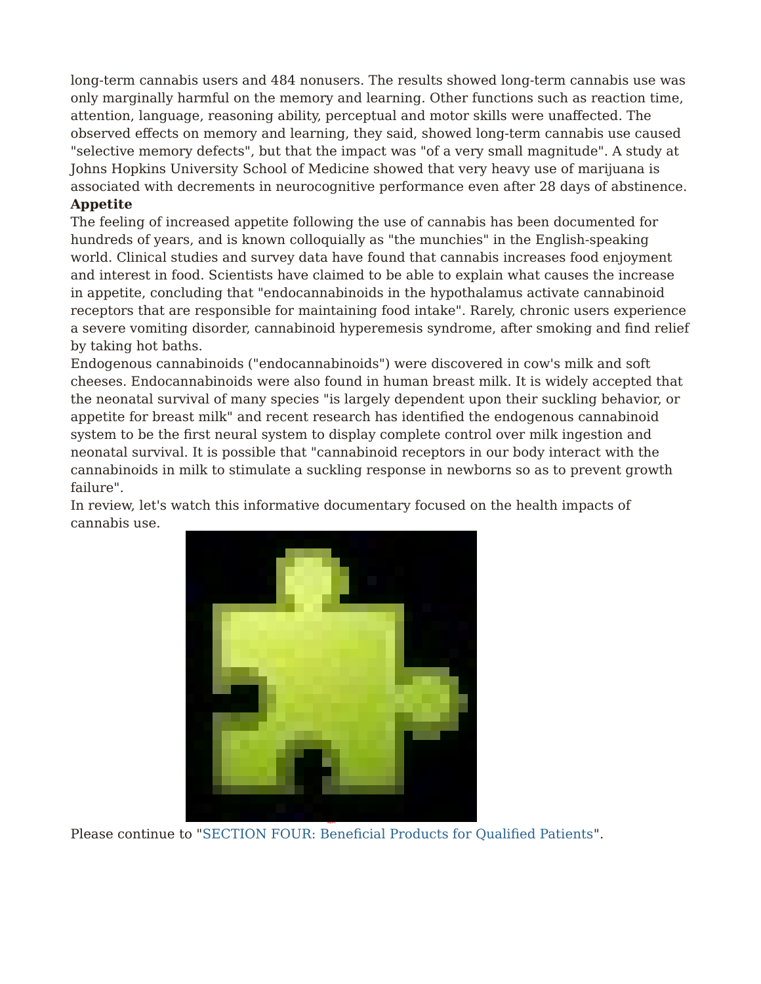long-term cannabis users and 484 nonusers. The results showed long-term cannabis use was only marginally harmful on the memory and learning. Other functions such as reaction time, attention, language, reasoning ability, perceptual and motor skills were unaffected. The observed effects on memory and learning, they said, showed long-term cannabis use caused "selective memory defects", but that the impact was "of a very small magnitude". A study at Johns Hopkins University School of Medicine showed that very heavy use of marijuana is associated with decrements in neurocognitive performance even after 28 days of abstinence.

#### **Appetite**

The feeling of increased appetite following the use of cannabis has been documented for hundreds of years, and is known colloquially as "the munchies" in the English-speaking world. Clinical studies and survey data have found that cannabis increases food enjoyment and interest in food. Scientists have claimed to be able to explain what causes the increase in appetite, concluding that "endocannabinoids in the hypothalamus activate cannabinoid receptors that are responsible for maintaining food intake". Rarely, chronic users experience a severe vomiting disorder, cannabinoid hyperemesis syndrome, after smoking and find relief by taking hot baths.

Endogenous cannabinoids ("endocannabinoids") were discovered in cow's milk and soft cheeses. Endocannabinoids were also found in human breast milk. It is widely accepted that the neonatal survival of many species "is largely dependent upon their suckling behavior, or appetite for breast milk" and recent research has identified the endogenous cannabinoid system to be the first neural system to display complete control over milk ingestion and neonatal survival. It is possible that "cannabinoid receptors in our body interact with the cannabinoids in milk to stimulate a suckling response in newborns so as to prevent growth failure".

In review, let's watch this informative documentary focused on the health impacts of cannabis use.



Please continue to ["SECTION FOUR: Beneficial Products for Qualified Patients"](https://medicalmarijuanaunited.com/school/mod/page/view.php?id=442).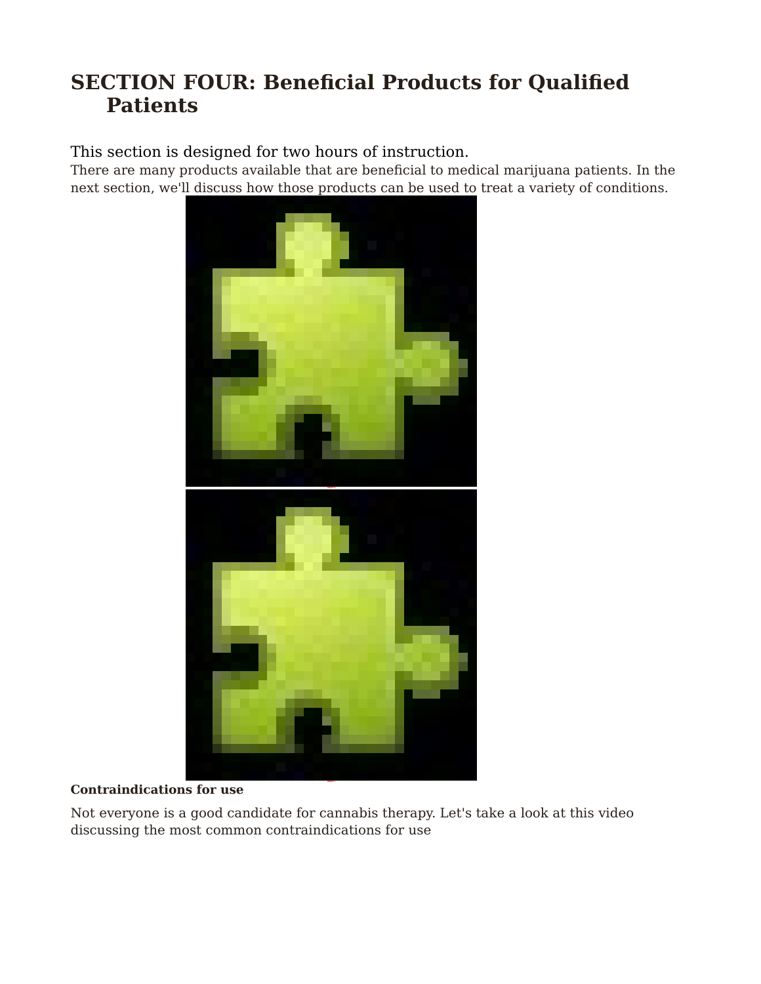## **SECTION FOUR: Beneficial Products for Qualified Patients**

This section is designed for two hours of instruction.

There are many products available that are beneficial to medical marijuana patients. In the next section, we'll discuss how those products can be used to treat a variety of conditions.



## **Contraindications for use**

Not everyone is a good candidate for cannabis therapy. Let's take a look at this video discussing the most common contraindications for use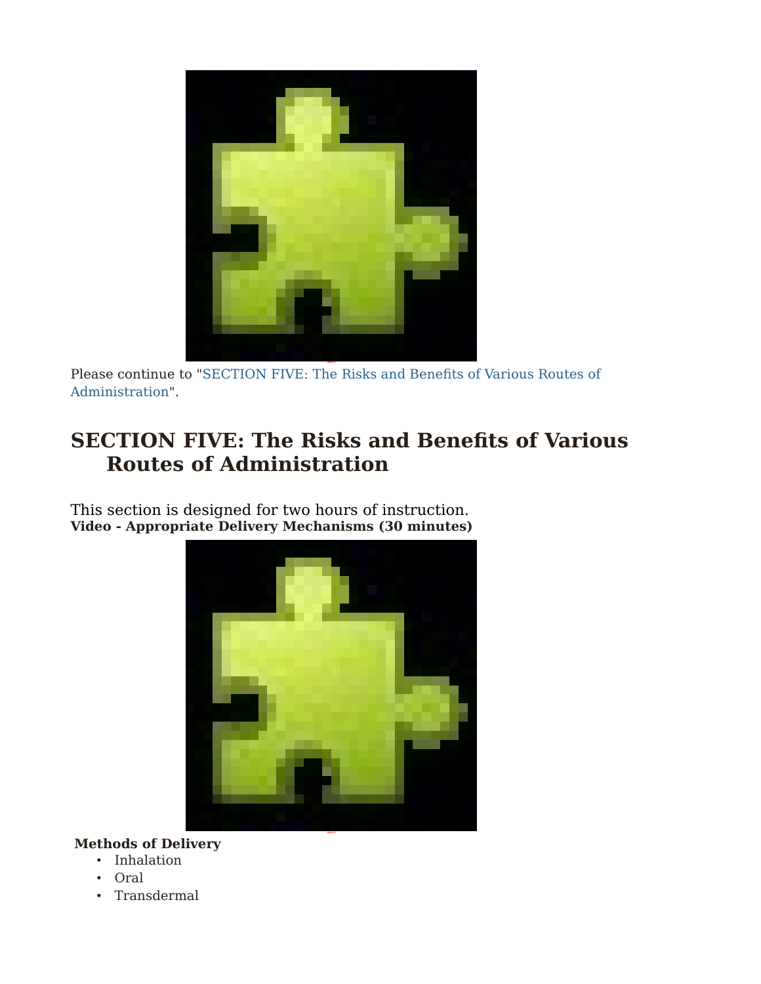

Please continue to ["SECTION FIVE: The Risks and Benefits of Various Routes of](https://medicalmarijuanaunited.com/school/mod/page/view.php?id=432)  [Administration"](https://medicalmarijuanaunited.com/school/mod/page/view.php?id=432).

## **SECTION FIVE: The Risks and Benefits of Various Routes of Administration**

This section is designed for two hours of instruction. **Video - Appropriate Delivery Mechanisms (30 minutes)**



## **Methods of Delivery**

- Inhalation
- Oral
- Transdermal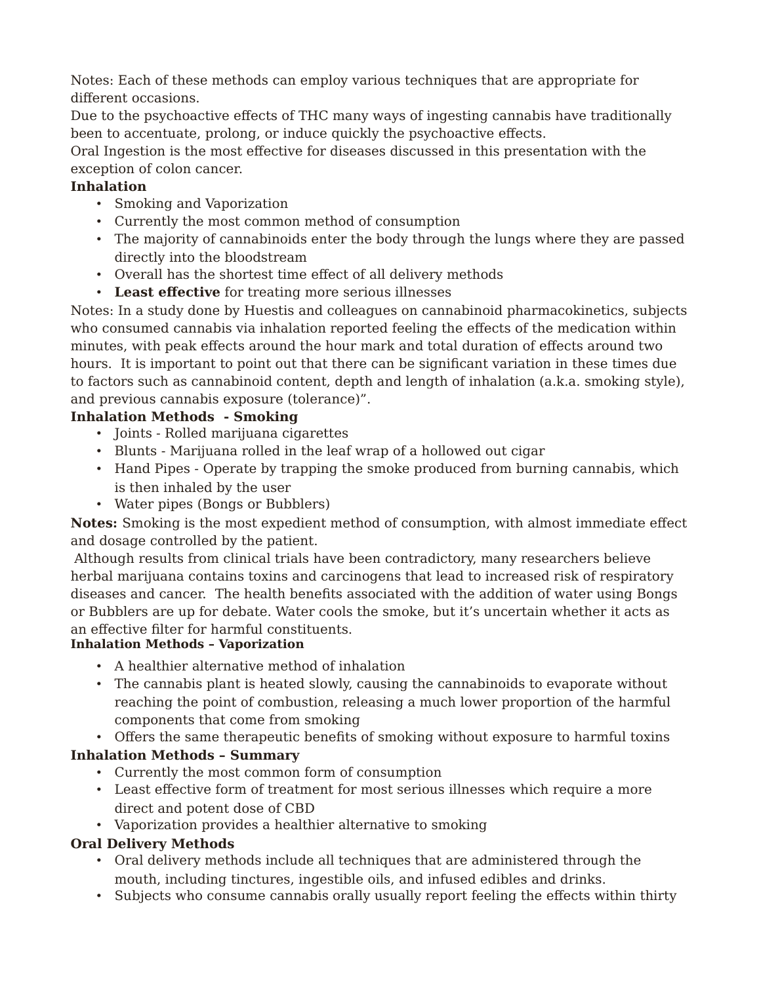Notes: Each of these methods can employ various techniques that are appropriate for different occasions.

Due to the psychoactive effects of THC many ways of ingesting cannabis have traditionally been to accentuate, prolong, or induce quickly the psychoactive effects.

Oral Ingestion is the most effective for diseases discussed in this presentation with the exception of colon cancer.

## **Inhalation**

- Smoking and Vaporization
- Currently the most common method of consumption
- The majority of cannabinoids enter the body through the lungs where they are passed directly into the bloodstream
- Overall has the shortest time effect of all delivery methods
- **Least effective** for treating more serious illnesses

Notes: In a study done by Huestis and colleagues on cannabinoid pharmacokinetics, subjects who consumed cannabis via inhalation reported feeling the effects of the medication within minutes, with peak effects around the hour mark and total duration of effects around two hours. It is important to point out that there can be significant variation in these times due to factors such as cannabinoid content, depth and length of inhalation (a.k.a. smoking style), and previous cannabis exposure (tolerance)".

## **Inhalation Methods - Smoking**

- Joints Rolled marijuana cigarettes
- Blunts Marijuana rolled in the leaf wrap of a hollowed out cigar
- Hand Pipes Operate by trapping the smoke produced from burning cannabis, which is then inhaled by the user
- Water pipes (Bongs or Bubblers)

**Notes:** Smoking is the most expedient method of consumption, with almost immediate effect and dosage controlled by the patient.

Although results from clinical trials have been contradictory, many researchers believe herbal marijuana contains toxins and carcinogens that lead to increased risk of respiratory diseases and cancer. The health benefits associated with the addition of water using Bongs or Bubblers are up for debate. Water cools the smoke, but it's uncertain whether it acts as an effective filter for harmful constituents.

## **Inhalation Methods – Vaporization**

- A healthier alternative method of inhalation
- The cannabis plant is heated slowly, causing the cannabinoids to evaporate without reaching the point of combustion, releasing a much lower proportion of the harmful components that come from smoking
- Offers the same therapeutic benefits of smoking without exposure to harmful toxins

## **Inhalation Methods – Summary**

- Currently the most common form of consumption
- Least effective form of treatment for most serious illnesses which require a more direct and potent dose of CBD
- Vaporization provides a healthier alternative to smoking

## **Oral Delivery Methods**

- Oral delivery methods include all techniques that are administered through the mouth, including tinctures, ingestible oils, and infused edibles and drinks.
- Subjects who consume cannabis orally usually report feeling the effects within thirty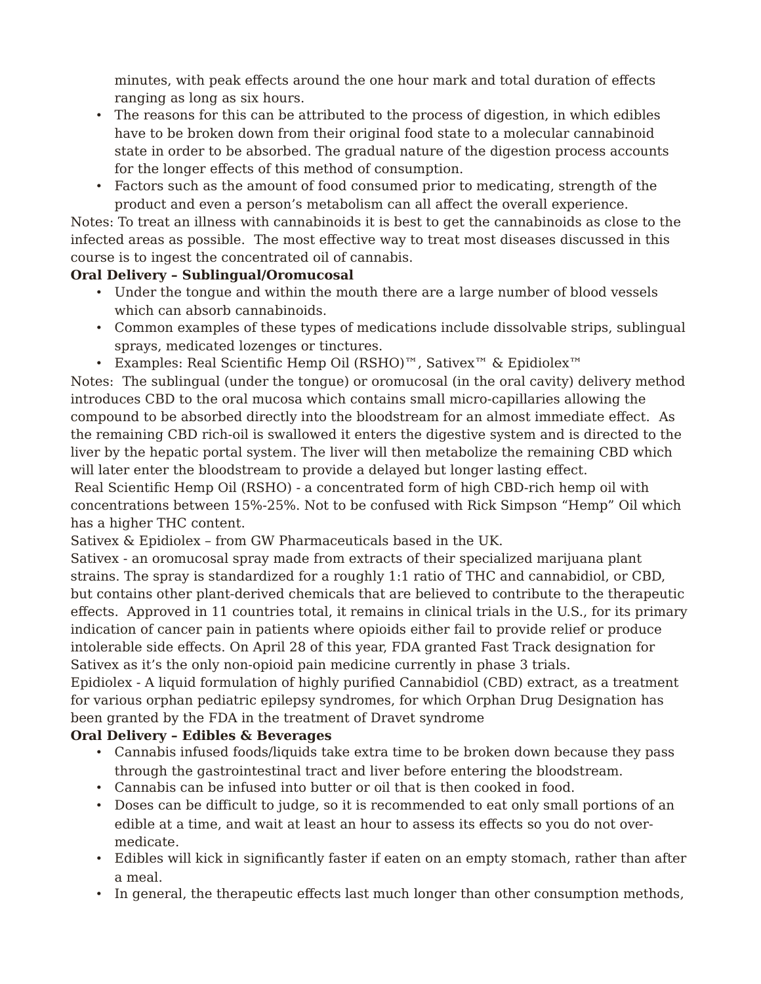minutes, with peak effects around the one hour mark and total duration of effects ranging as long as six hours.

- The reasons for this can be attributed to the process of digestion, in which edibles have to be broken down from their original food state to a molecular cannabinoid state in order to be absorbed. The gradual nature of the digestion process accounts for the longer effects of this method of consumption.
- Factors such as the amount of food consumed prior to medicating, strength of the product and even a person's metabolism can all affect the overall experience.

Notes: To treat an illness with cannabinoids it is best to get the cannabinoids as close to the infected areas as possible. The most effective way to treat most diseases discussed in this course is to ingest the concentrated oil of cannabis.

## **Oral Delivery – Sublingual/Oromucosal**

- Under the tongue and within the mouth there are a large number of blood vessels which can absorb cannabinoids.
- Common examples of these types of medications include dissolvable strips, sublingual sprays, medicated lozenges or tinctures.
- Examples: Real Scientific Hemp Oil (RSHO)™, Sativex™ & Epidiolex™

Notes: The sublingual (under the tongue) or oromucosal (in the oral cavity) delivery method introduces CBD to the oral mucosa which contains small micro-capillaries allowing the compound to be absorbed directly into the bloodstream for an almost immediate effect. As the remaining CBD rich-oil is swallowed it enters the digestive system and is directed to the liver by the hepatic portal system. The liver will then metabolize the remaining CBD which will later enter the bloodstream to provide a delayed but longer lasting effect.

Real Scientific Hemp Oil (RSHO) - a concentrated form of high CBD-rich hemp oil with concentrations between 15%-25%. Not to be confused with Rick Simpson "Hemp" Oil which has a higher THC content.

Sativex & Epidiolex – from GW Pharmaceuticals based in the UK.

Sativex - an oromucosal spray made from extracts of their specialized marijuana plant strains. The spray is standardized for a roughly 1:1 ratio of THC and cannabidiol, or CBD, but contains other plant-derived chemicals that are believed to contribute to the therapeutic effects. Approved in 11 countries total, it remains in clinical trials in the U.S., for its primary indication of cancer pain in patients where opioids either fail to provide relief or produce intolerable side effects. On April 28 of this year, FDA granted Fast Track designation for Sativex as it's the only non-opioid pain medicine currently in phase 3 trials.

Epidiolex - A liquid formulation of highly purified Cannabidiol (CBD) extract, as a treatment for various orphan pediatric epilepsy syndromes, for which Orphan Drug Designation has been granted by the FDA in the treatment of Dravet syndrome

## **Oral Delivery – Edibles & Beverages**

- Cannabis infused foods/liquids take extra time to be broken down because they pass through the gastrointestinal tract and liver before entering the bloodstream.
- Cannabis can be infused into butter or oil that is then cooked in food.
- Doses can be difficult to judge, so it is recommended to eat only small portions of an edible at a time, and wait at least an hour to assess its effects so you do not overmedicate.
- Edibles will kick in significantly faster if eaten on an empty stomach, rather than after a meal.
- In general, the therapeutic effects last much longer than other consumption methods,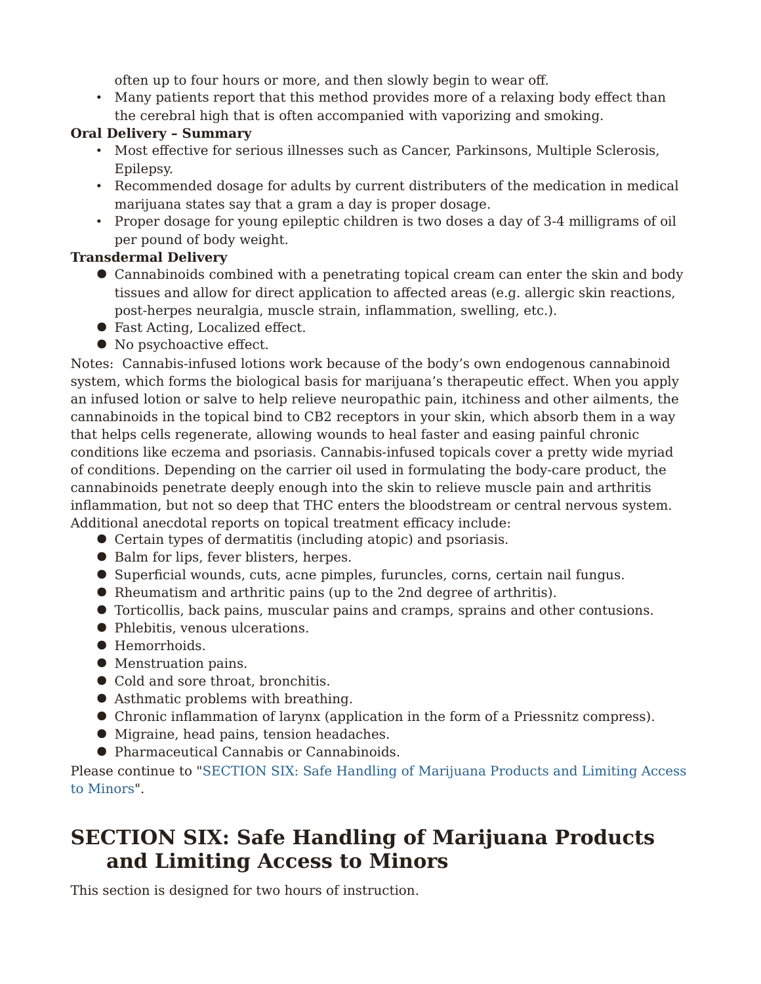often up to four hours or more, and then slowly begin to wear off.

• Many patients report that this method provides more of a relaxing body effect than the cerebral high that is often accompanied with vaporizing and smoking.

## **Oral Delivery – Summary**

- Most effective for serious illnesses such as Cancer, Parkinsons, Multiple Sclerosis, Epilepsy.
- Recommended dosage for adults by current distributers of the medication in medical marijuana states say that a gram a day is proper dosage.
- Proper dosage for young epileptic children is two doses a day of 3-4 milligrams of oil per pound of body weight.

## **Transdermal Delivery**

- Cannabinoids combined with a penetrating topical cream can enter the skin and body tissues and allow for direct application to affected areas (e.g. allergic skin reactions, post-herpes neuralgia, muscle strain, inflammation, swelling, etc.).
- Fast Acting, Localized effect.
- $\bullet$  No psychoactive effect.

Notes: Cannabis-infused lotions work because of the body's own endogenous cannabinoid system, which forms the biological basis for marijuana's therapeutic effect. When you apply an infused lotion or salve to help relieve neuropathic pain, itchiness and other ailments, the cannabinoids in the topical bind to CB2 receptors in your skin, which absorb them in a way that helps cells regenerate, allowing wounds to heal faster and easing painful chronic conditions like eczema and psoriasis. Cannabis-infused topicals cover a pretty wide myriad of conditions. Depending on the carrier oil used in formulating the body-care product, the cannabinoids penetrate deeply enough into the skin to relieve muscle pain and arthritis inflammation, but not so deep that THC enters the bloodstream or central nervous system. Additional anecdotal reports on topical treatment efficacy include:

- Certain types of dermatitis (including atopic) and psoriasis.
- Balm for lips, fever blisters, herpes.
- Superficial wounds, cuts, acne pimples, furuncles, corns, certain nail fungus.
- Rheumatism and arthritic pains (up to the 2nd degree of arthritis).
- Torticollis, back pains, muscular pains and cramps, sprains and other contusions.
- $\bullet$  Phlebitis, venous ulcerations.
- Hemorrhoids.
- Menstruation pains.
- $\bullet$  Cold and sore throat, bronchitis.
- Asthmatic problems with breathing.
- Chronic inflammation of larynx (application in the form of a Priessnitz compress).
- $\bullet$  Migraine, head pains, tension headaches.
- Pharmaceutical Cannabis or Cannabinoids.

Please continue to ["SECTION SIX: Safe Handling of Marijuana Products and Limiting Access](https://medicalmarijuanaunited.com/school/mod/page/view.php?id=444) [to Minors"](https://medicalmarijuanaunited.com/school/mod/page/view.php?id=444).

## **SECTION SIX: Safe Handling of Marijuana Products and Limiting Access to Minors**

This section is designed for two hours of instruction.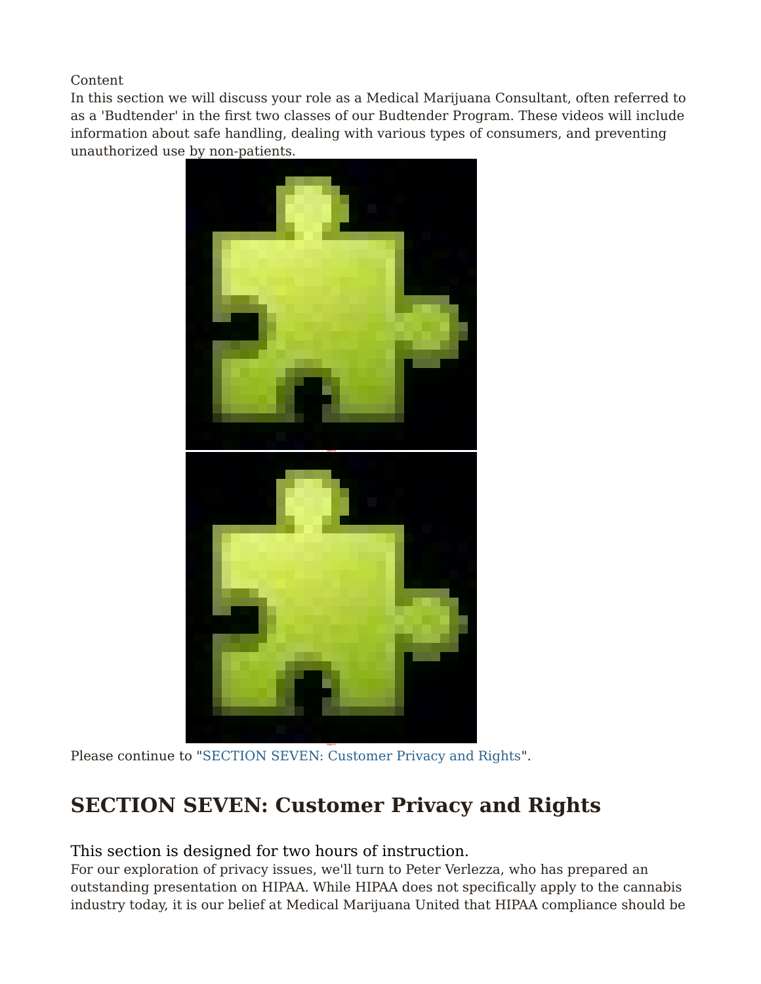Content

In this section we will discuss your role as a Medical Marijuana Consultant, often referred to as a 'Budtender' in the first two classes of our Budtender Program. These videos will include information about safe handling, dealing with various types of consumers, and preventing unauthorized use by non-patients.



Please continue to ["SECTION SEVEN: Customer Privacy and Rights"](https://medicalmarijuanaunited.com/school/mod/page/view.php?id=445).

# **SECTION SEVEN: Customer Privacy and Rights**

This section is designed for two hours of instruction.

For our exploration of privacy issues, we'll turn to Peter Verlezza, who has prepared an outstanding presentation on HIPAA. While HIPAA does not specifically apply to the cannabis industry today, it is our belief at Medical Marijuana United that HIPAA compliance should be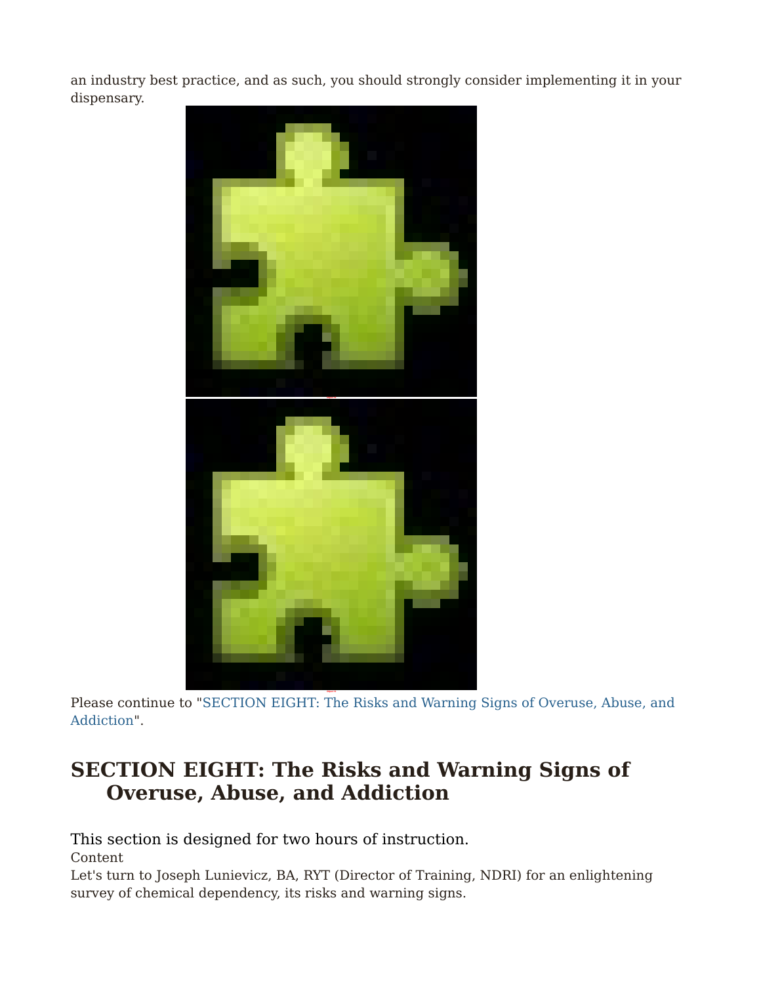an industry best practice, and as such, you should strongly consider implementing it in your dispensary.



Please continue to ["SECTION EIGHT: The Risks and Warning Signs of Overuse, Abuse, and](https://medicalmarijuanaunited.com/school/mod/page/view.php?id=446)  [Addiction"](https://medicalmarijuanaunited.com/school/mod/page/view.php?id=446).

## **SECTION EIGHT: The Risks and Warning Signs of Overuse, Abuse, and Addiction**

This section is designed for two hours of instruction.

Content

Let's turn to Joseph Lunievicz, BA, RYT (Director of Training, NDRI) for an enlightening survey of chemical dependency, its risks and warning signs.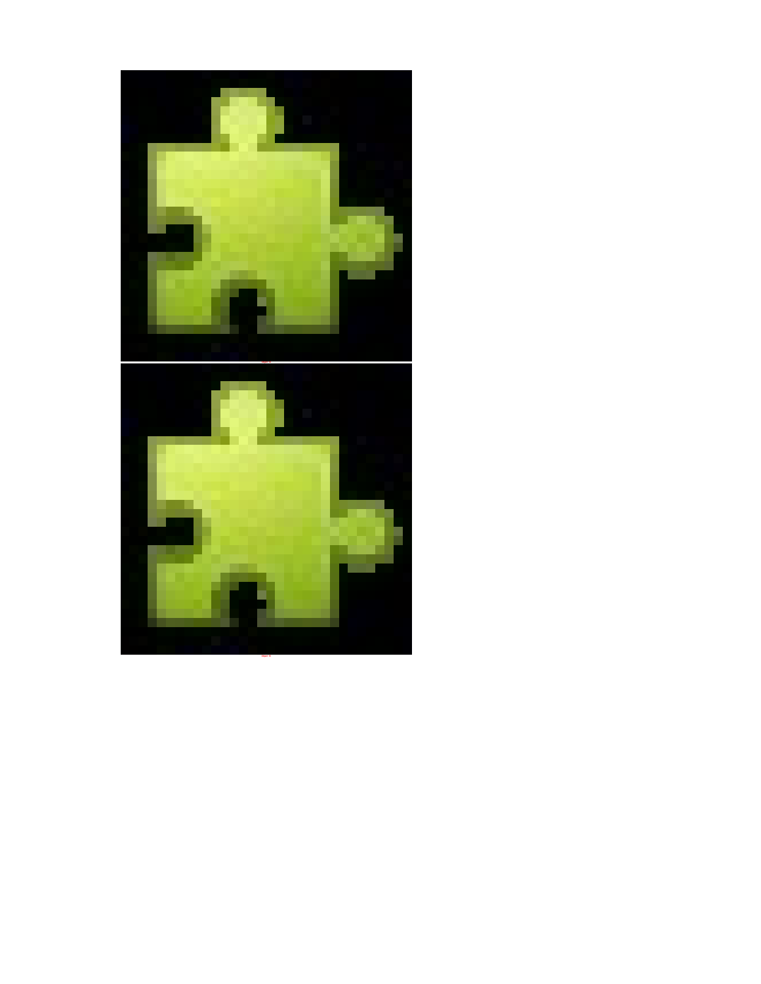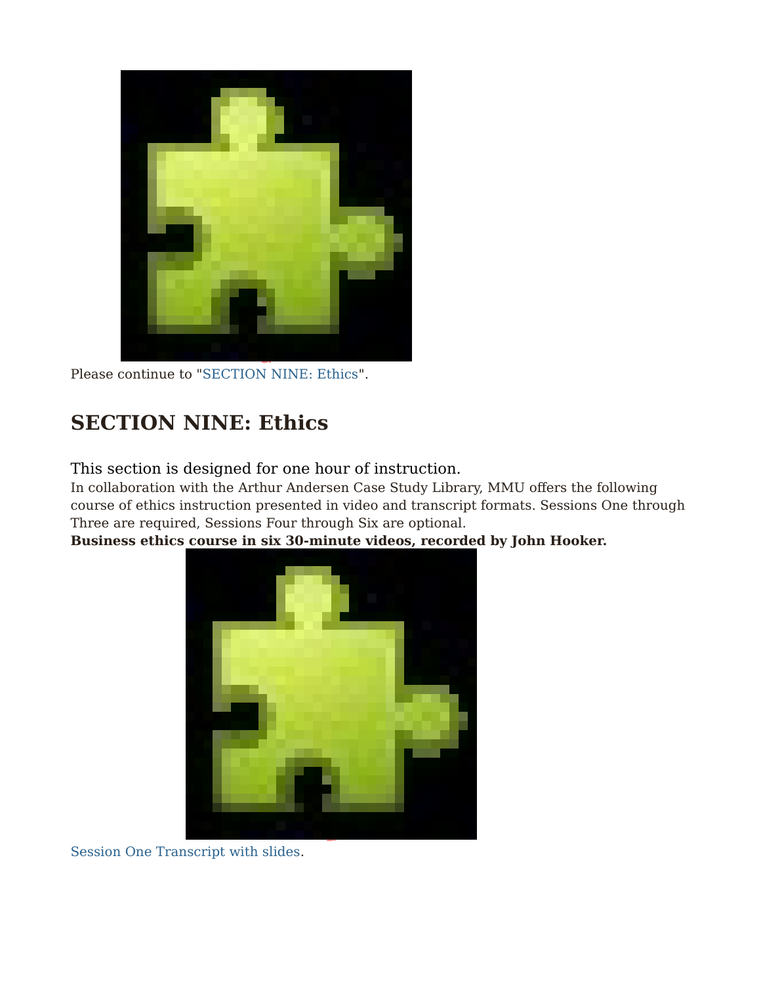

Please continue to ["SECTION NINE: Ethics"](https://medicalmarijuanaunited.com/school/mod/page/view.php?id=447).

# **SECTION NINE: Ethics**

This section is designed for one hour of instruction.

In collaboration with the Arthur Andersen Case Study Library, MMU offers the following course of ethics instruction presented in video and transcript formats. Sessions One through Three are required, Sessions Four through Six are optional.

**Business ethics course in six 30-minute videos, recorded by John Hooker.**



[Session One Transcript with slides.](https://web.tepper.cmu.edu/jnh/part1transcriptEdited.pdf)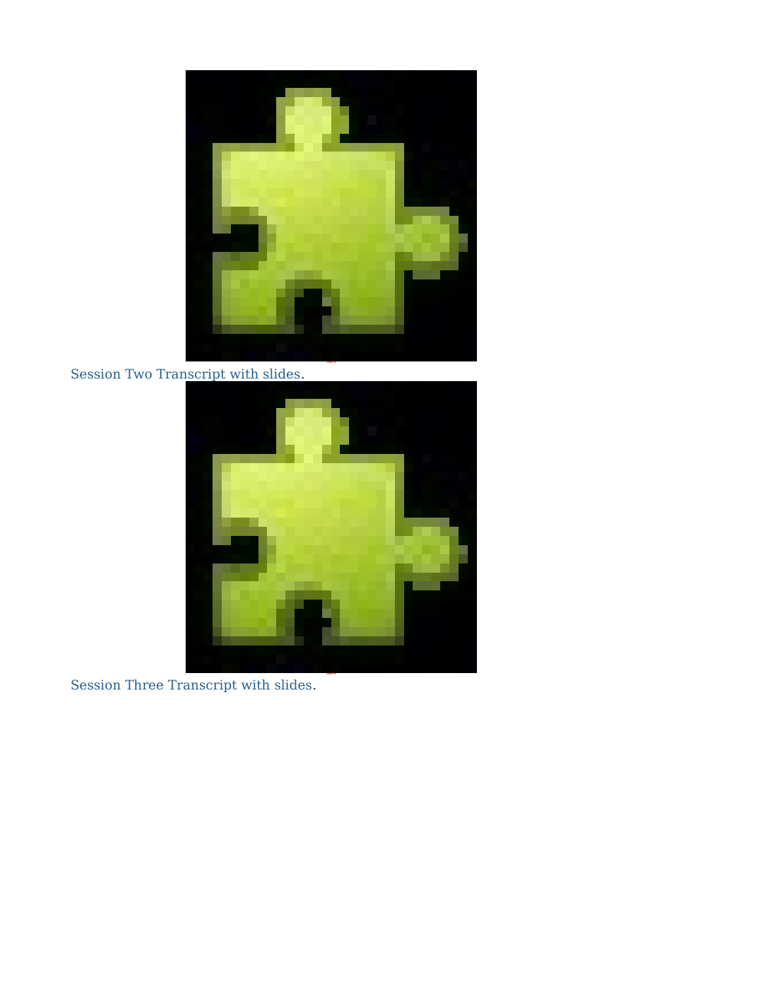

[Session Two Transcript with slides.](https://web.tepper.cmu.edu/jnh/part2transcriptEdited.pdf)



[Session Three Transcript with slides.](https://web.tepper.cmu.edu/jnh/part3transcriptEdited.pdf)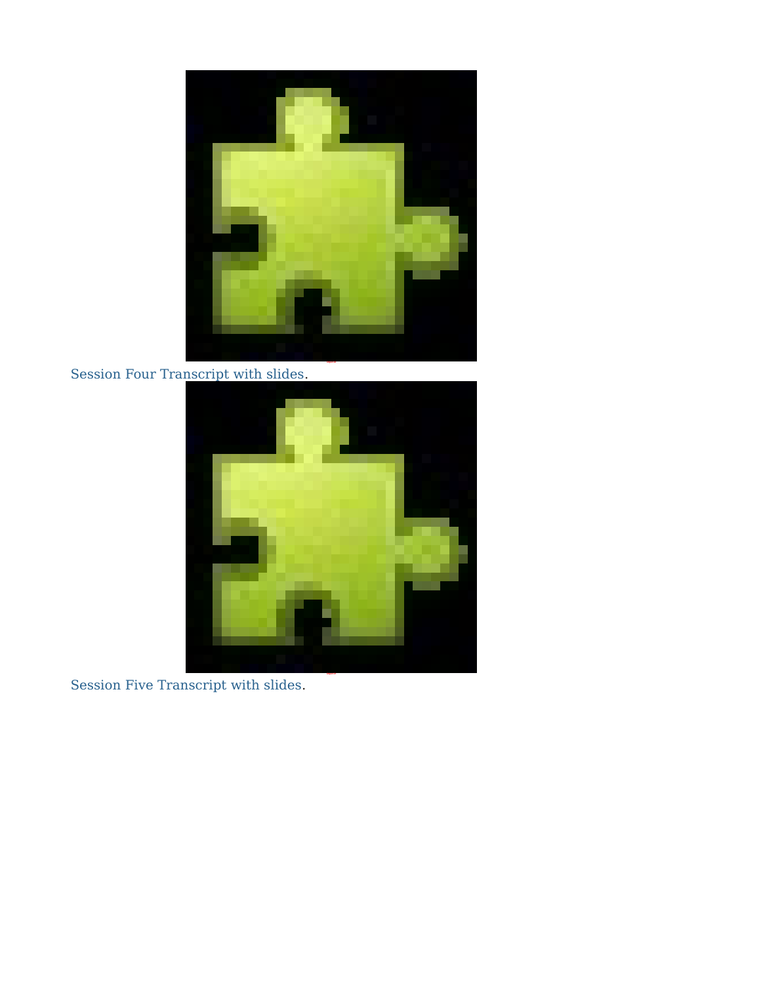

[Session Four Transcript with slides.](https://web.tepper.cmu.edu/jnh/part4transcriptEdited.pdf)



[Session Five Transcript with slides.](https://web.tepper.cmu.edu/jnh/part5ranscriptEdited.pdf)